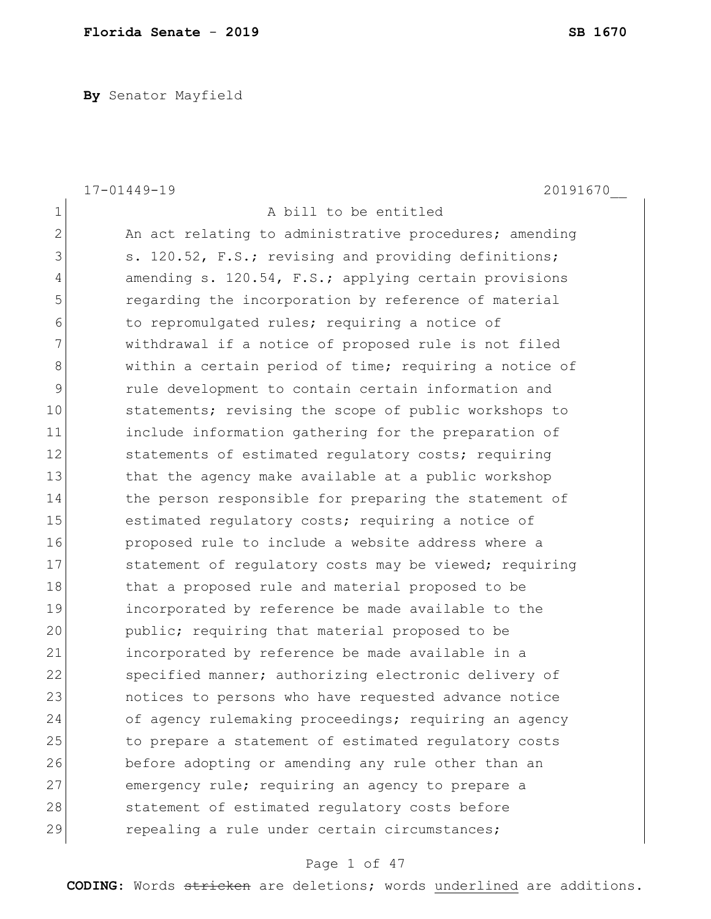**By** Senator Mayfield

|              | $17 - 01449 - 19$<br>20191670                          |
|--------------|--------------------------------------------------------|
| $\mathbf 1$  | A bill to be entitled                                  |
| $\mathbf{2}$ | An act relating to administrative procedures; amending |
| 3            | s. 120.52, F.S.; revising and providing definitions;   |
| 4            | amending s. 120.54, F.S.; applying certain provisions  |
| 5            | regarding the incorporation by reference of material   |
| 6            | to repromulgated rules; requiring a notice of          |
| 7            | withdrawal if a notice of proposed rule is not filed   |
| $\,8\,$      | within a certain period of time; requiring a notice of |
| 9            | rule development to contain certain information and    |
| 10           | statements; revising the scope of public workshops to  |
| 11           | include information gathering for the preparation of   |
| 12           | statements of estimated requlatory costs; requiring    |
| 13           | that the agency make available at a public workshop    |
| 14           | the person responsible for preparing the statement of  |
| 15           | estimated regulatory costs; requiring a notice of      |
| 16           | proposed rule to include a website address where a     |
| 17           | statement of regulatory costs may be viewed; requiring |
| 18           | that a proposed rule and material proposed to be       |
| 19           | incorporated by reference be made available to the     |
| 20           | public; requiring that material proposed to be         |
| 21           | incorporated by reference be made available in a       |
| 22           | specified manner; authorizing electronic delivery of   |
| 23           | notices to persons who have requested advance notice   |
| 24           | of agency rulemaking proceedings; requiring an agency  |
| 25           | to prepare a statement of estimated regulatory costs   |
| 26           | before adopting or amending any rule other than an     |
| 27           | emergency rule; requiring an agency to prepare a       |
| 28           | statement of estimated regulatory costs before         |
| 29           | repealing a rule under certain circumstances;          |

# Page 1 of 47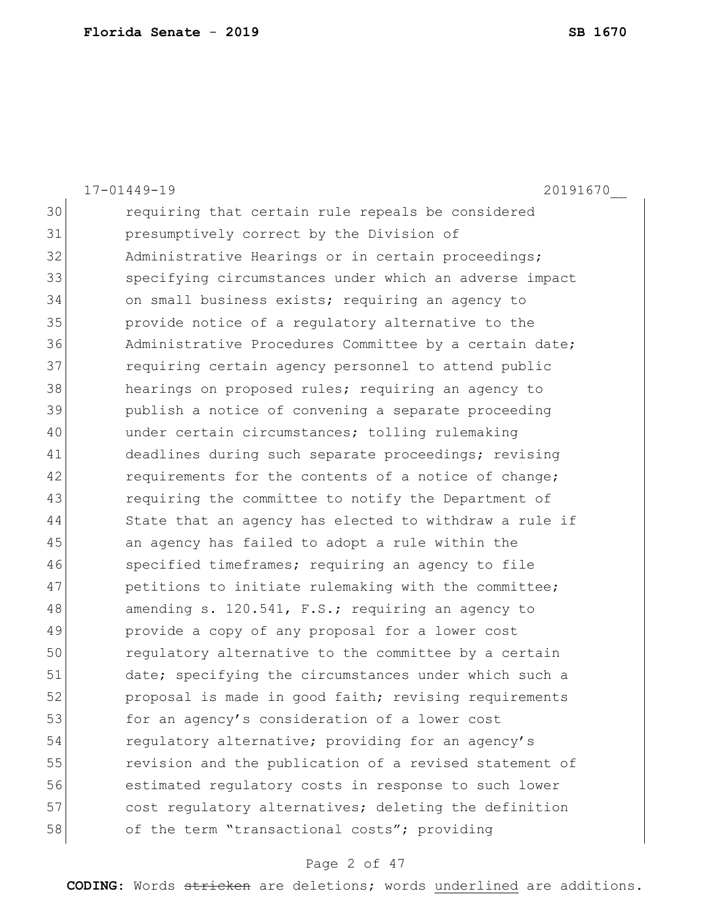|    | $17 - 01449 - 19$<br>20191670                          |
|----|--------------------------------------------------------|
| 30 | requiring that certain rule repeals be considered      |
| 31 | presumptively correct by the Division of               |
| 32 | Administrative Hearings or in certain proceedings;     |
| 33 | specifying circumstances under which an adverse impact |
| 34 | on small business exists; requiring an agency to       |
| 35 | provide notice of a regulatory alternative to the      |
| 36 | Administrative Procedures Committee by a certain date; |
| 37 | requiring certain agency personnel to attend public    |
| 38 | hearings on proposed rules; requiring an agency to     |
| 39 | publish a notice of convening a separate proceeding    |
| 40 | under certain circumstances; tolling rulemaking        |
| 41 | deadlines during such separate proceedings; revising   |
| 42 | requirements for the contents of a notice of change;   |
| 43 | requiring the committee to notify the Department of    |
| 44 | State that an agency has elected to withdraw a rule if |
| 45 | an agency has failed to adopt a rule within the        |
| 46 | specified timeframes; requiring an agency to file      |
| 47 | petitions to initiate rulemaking with the committee;   |
| 48 | amending s. 120.541, F.S.; requiring an agency to      |
| 49 | provide a copy of any proposal for a lower cost        |
| 50 | regulatory alternative to the committee by a certain   |
| 51 | date; specifying the circumstances under which such a  |
| 52 | proposal is made in good faith; revising requirements  |
| 53 | for an agency's consideration of a lower cost          |
| 54 | regulatory alternative; providing for an agency's      |
| 55 | revision and the publication of a revised statement of |
| 56 | estimated regulatory costs in response to such lower   |
| 57 | cost regulatory alternatives; deleting the definition  |
| 58 | of the term "transactional costs"; providing           |

# Page 2 of 47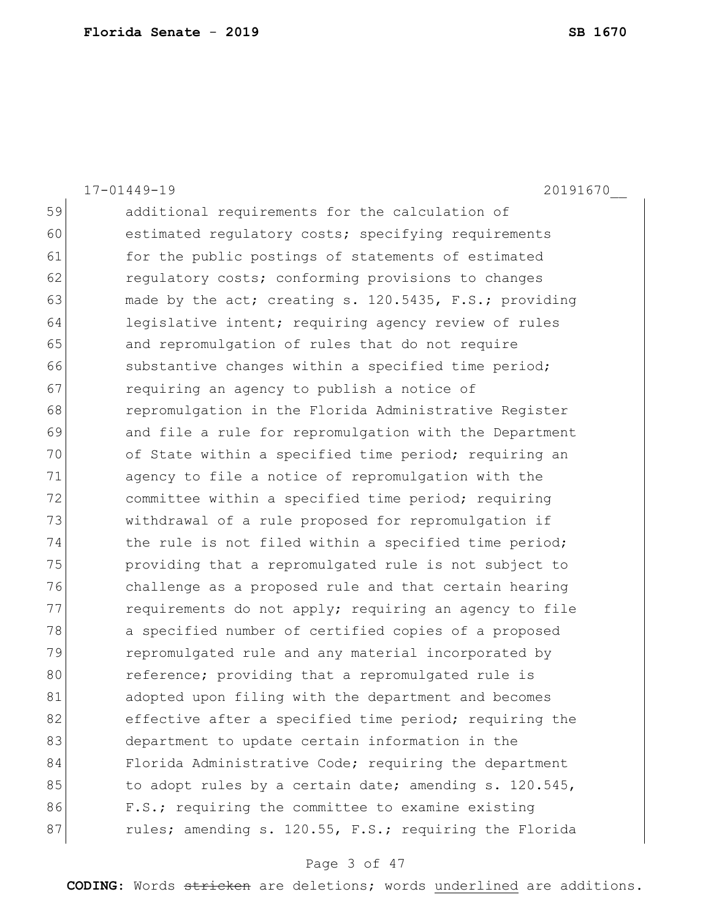|    | $17 - 01449 - 19$<br>20191670                          |
|----|--------------------------------------------------------|
| 59 | additional requirements for the calculation of         |
| 60 | estimated regulatory costs; specifying requirements    |
| 61 | for the public postings of statements of estimated     |
| 62 | regulatory costs; conforming provisions to changes     |
| 63 | made by the act; creating s. 120.5435, F.S.; providing |
| 64 | legislative intent; requiring agency review of rules   |
| 65 | and repromulgation of rules that do not require        |
| 66 | substantive changes within a specified time period;    |
| 67 | requiring an agency to publish a notice of             |
| 68 | repromulgation in the Florida Administrative Register  |
| 69 | and file a rule for repromulgation with the Department |
| 70 | of State within a specified time period; requiring an  |
| 71 | agency to file a notice of repromulgation with the     |
| 72 | committee within a specified time period; requiring    |
| 73 | withdrawal of a rule proposed for repromulgation if    |
| 74 | the rule is not filed within a specified time period;  |
| 75 | providing that a repromulgated rule is not subject to  |
| 76 | challenge as a proposed rule and that certain hearing  |
| 77 | requirements do not apply; requiring an agency to file |
| 78 | a specified number of certified copies of a proposed   |
| 79 | repromulgated rule and any material incorporated by    |
| 80 | reference; providing that a repromulgated rule is      |
| 81 | adopted upon filing with the department and becomes    |
| 82 | effective after a specified time period; requiring the |
| 83 | department to update certain information in the        |
| 84 | Florida Administrative Code; requiring the department  |
| 85 | to adopt rules by a certain date; amending s. 120.545, |
| 86 | F.S.; requiring the committee to examine existing      |
| 87 | rules; amending s. 120.55, F.S.; requiring the Florida |
|    |                                                        |

# Page 3 of 47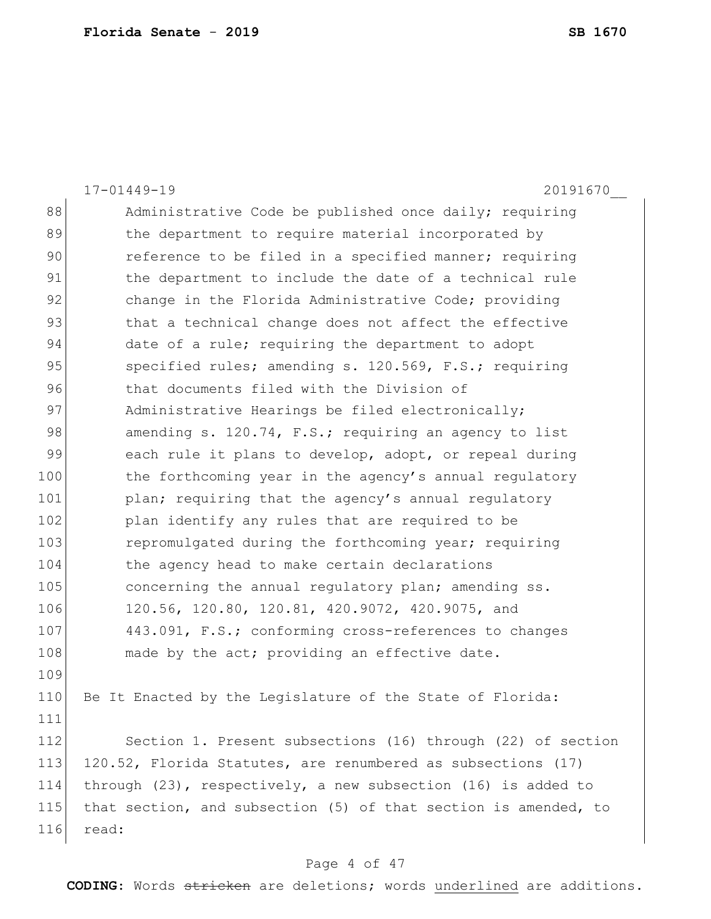|     | $17 - 01449 - 19$<br>20191670                                      |
|-----|--------------------------------------------------------------------|
| 88  | Administrative Code be published once daily; requiring             |
| 89  | the department to require material incorporated by                 |
| 90  | reference to be filed in a specified manner; requiring             |
| 91  | the department to include the date of a technical rule             |
| 92  | change in the Florida Administrative Code; providing               |
| 93  | that a technical change does not affect the effective              |
| 94  | date of a rule; requiring the department to adopt                  |
| 95  | specified rules; amending s. 120.569, F.S.; requiring              |
| 96  | that documents filed with the Division of                          |
| 97  | Administrative Hearings be filed electronically;                   |
| 98  | amending s. 120.74, F.S.; requiring an agency to list              |
| 99  | each rule it plans to develop, adopt, or repeal during             |
| 100 | the forthcoming year in the agency's annual regulatory             |
| 101 | plan; requiring that the agency's annual regulatory                |
| 102 | plan identify any rules that are required to be                    |
| 103 | repromulgated during the forthcoming year; requiring               |
| 104 | the agency head to make certain declarations                       |
| 105 | concerning the annual regulatory plan; amending ss.                |
| 106 | 120.56, 120.80, 120.81, 420.9072, 420.9075, and                    |
| 107 | 443.091, F.S.; conforming cross-references to changes              |
| 108 | made by the act; providing an effective date.                      |
| 109 |                                                                    |
| 110 | Be It Enacted by the Legislature of the State of Florida:          |
| 111 |                                                                    |
| 112 | Section 1. Present subsections (16) through (22) of section        |
| 113 | 120.52, Florida Statutes, are renumbered as subsections (17)       |
| 114 | through $(23)$ , respectively, a new subsection $(16)$ is added to |
| 115 | that section, and subsection (5) of that section is amended, to    |
| 116 | read:                                                              |

# Page 4 of 47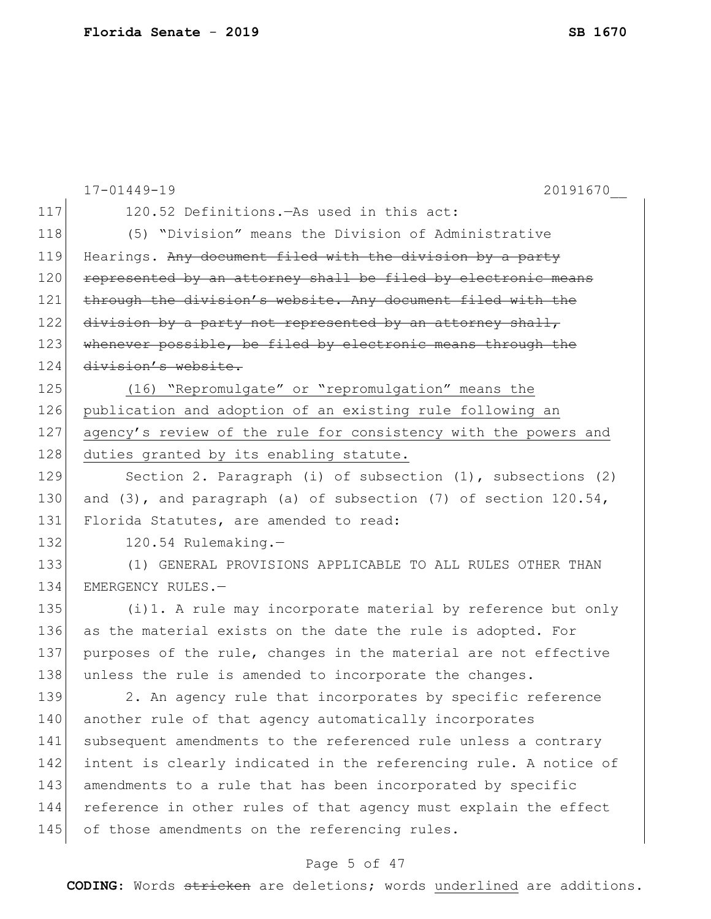|     | $17 - 01449 - 19$<br>20191670                                          |
|-----|------------------------------------------------------------------------|
| 117 | 120.52 Definitions. - As used in this act:                             |
| 118 | (5) "Division" means the Division of Administrative                    |
| 119 | Hearings. Any document filed with the division by a party              |
| 120 | represented by an attorney shall be filed by electronic means          |
| 121 | through the division's website. Any document filed with the            |
| 122 | division by a party not represented by an attorney shall,              |
| 123 | whenever possible, be filed by electronic means through the            |
| 124 | division's website.                                                    |
| 125 | (16) "Repromulgate" or "repromulgation" means the                      |
| 126 | publication and adoption of an existing rule following an              |
| 127 | agency's review of the rule for consistency with the powers and        |
| 128 | duties granted by its enabling statute.                                |
| 129 | Section 2. Paragraph (i) of subsection (1), subsections (2)            |
| 130 | and $(3)$ , and paragraph $(a)$ of subsection $(7)$ of section 120.54, |
| 131 | Florida Statutes, are amended to read:                                 |
| 132 | 120.54 Rulemaking.-                                                    |
| 133 | (1) GENERAL PROVISIONS APPLICABLE TO ALL RULES OTHER THAN              |
| 134 | EMERGENCY RULES.-                                                      |
| 135 | (i)1. A rule may incorporate material by reference but only            |
| 136 | as the material exists on the date the rule is adopted. For            |
| 137 | purposes of the rule, changes in the material are not effective        |
| 138 | unless the rule is amended to incorporate the changes.                 |
| 139 | 2. An agency rule that incorporates by specific reference              |
| 140 | another rule of that agency automatically incorporates                 |
| 141 | subsequent amendments to the referenced rule unless a contrary         |
| 142 | intent is clearly indicated in the referencing rule. A notice of       |
| 143 | amendments to a rule that has been incorporated by specific            |
| 144 | reference in other rules of that agency must explain the effect        |
| 145 | of those amendments on the referencing rules.                          |
|     |                                                                        |

# Page 5 of 47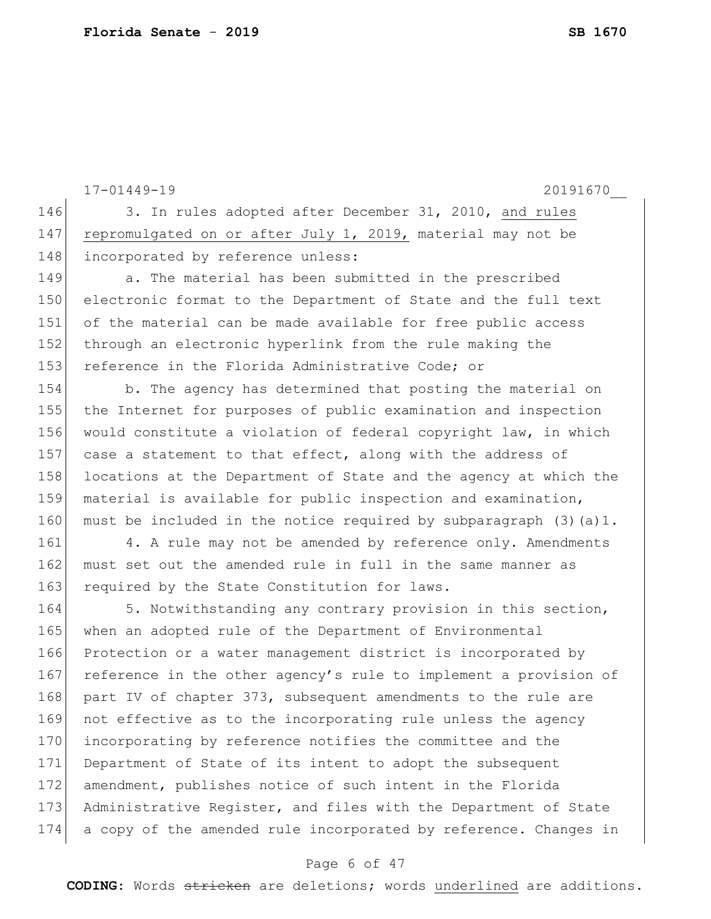17-01449-19 20191670\_\_ 146 3. In rules adopted after December 31, 2010, and rules 147 repromulgated on or after July 1, 2019, material may not be 148 incorporated by reference unless: 149 a. The material has been submitted in the prescribed 150 electronic format to the Department of State and the full text 151 of the material can be made available for free public access 152 through an electronic hyperlink from the rule making the 153 reference in the Florida Administrative Code; or 154 b. The agency has determined that posting the material on 155 the Internet for purposes of public examination and inspection 156 would constitute a violation of federal copyright law, in which 157 case a statement to that effect, along with the address of 158 locations at the Department of State and the agency at which the 159 material is available for public inspection and examination, 160 must be included in the notice required by subparagraph  $(3)(a)1$ . 161 4. A rule may not be amended by reference only. Amendments 162 must set out the amended rule in full in the same manner as 163 required by the State Constitution for laws. 164 5. Notwithstanding any contrary provision in this section, 165 when an adopted rule of the Department of Environmental 166 Protection or a water management district is incorporated by 167 reference in the other agency's rule to implement a provision of 168 part IV of chapter 373, subsequent amendments to the rule are 169 not effective as to the incorporating rule unless the agency 170 incorporating by reference notifies the committee and the 171 Department of State of its intent to adopt the subsequent 172 amendment, publishes notice of such intent in the Florida 173 Administrative Register, and files with the Department of State 174 a copy of the amended rule incorporated by reference. Changes in

## Page 6 of 47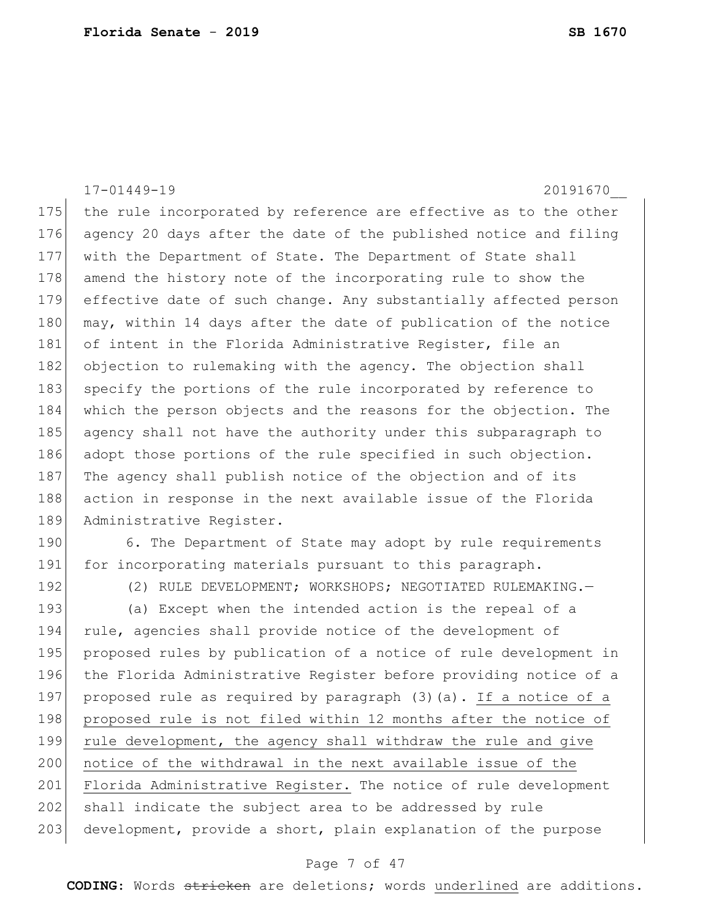17-01449-19 20191670\_\_ 175 the rule incorporated by reference are effective as to the other 176 agency 20 days after the date of the published notice and filing 177 with the Department of State. The Department of State shall 178 amend the history note of the incorporating rule to show the 179 effective date of such change. Any substantially affected person 180 may, within 14 days after the date of publication of the notice 181 of intent in the Florida Administrative Register, file an 182 objection to rulemaking with the agency. The objection shall 183 specify the portions of the rule incorporated by reference to 184 which the person objects and the reasons for the objection. The 185 agency shall not have the authority under this subparagraph to 186 adopt those portions of the rule specified in such objection. 187 The agency shall publish notice of the objection and of its 188 action in response in the next available issue of the Florida 189 Administrative Register. 190 6. The Department of State may adopt by rule requirements 191 for incorporating materials pursuant to this paragraph. 192 (2) RULE DEVELOPMENT; WORKSHOPS; NEGOTIATED RULEMAKING. 193 (a) Except when the intended action is the repeal of a 194 rule, agencies shall provide notice of the development of 195 proposed rules by publication of a notice of rule development in 196 the Florida Administrative Register before providing notice of a 197 proposed rule as required by paragraph (3)(a). If a notice of a 198 proposed rule is not filed within 12 months after the notice of 199 rule development, the agency shall withdraw the rule and give 200 notice of the withdrawal in the next available issue of the 201 Florida Administrative Register. The notice of rule development 202 shall indicate the subject area to be addressed by rule 203 development, provide a short, plain explanation of the purpose

### Page 7 of 47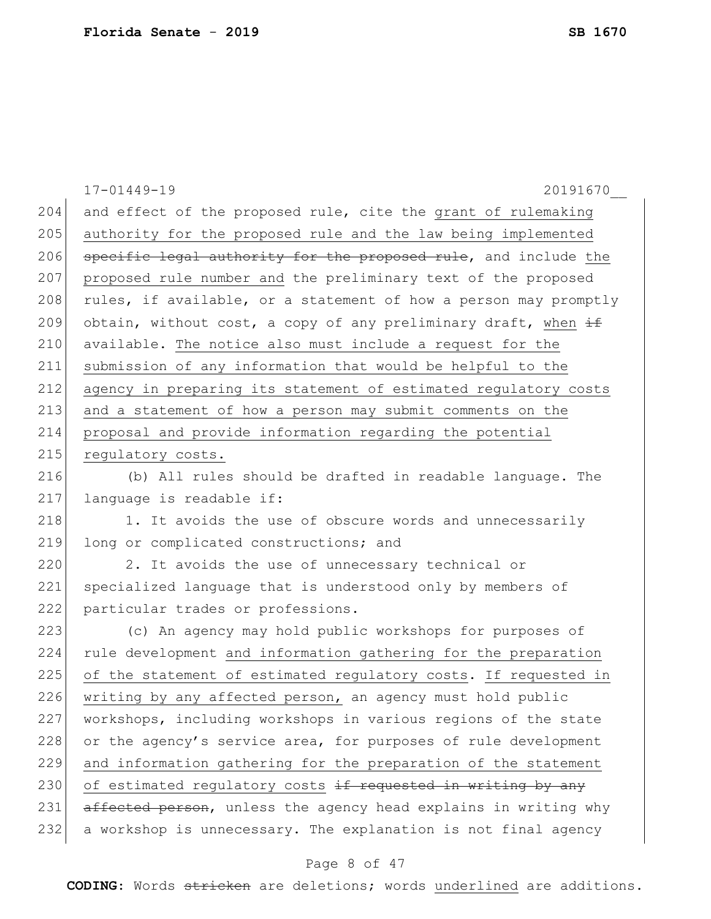17-01449-19 20191670\_\_ 204 and effect of the proposed rule, cite the grant of rulemaking 205 authority for the proposed rule and the law being implemented 206 specific legal authority for the proposed rule, and include the 207 proposed rule number and the preliminary text of the proposed 208 rules, if available, or a statement of how a person may promptly 209 obtain, without cost, a copy of any preliminary draft, when  $\pm$ 210 available. The notice also must include a request for the 211 submission of any information that would be helpful to the 212 agency in preparing its statement of estimated regulatory costs 213 and a statement of how a person may submit comments on the 214 proposal and provide information regarding the potential 215 regulatory costs. 216 (b) All rules should be drafted in readable language. The 217 language is readable if: 218 1. It avoids the use of obscure words and unnecessarily 219 long or complicated constructions; and 220 2. It avoids the use of unnecessary technical or 221 specialized language that is understood only by members of 222 particular trades or professions. 223 (c) An agency may hold public workshops for purposes of 224 rule development and information gathering for the preparation 225 of the statement of estimated regulatory costs. If requested in 226 writing by any affected person, an agency must hold public 227 workshops, including workshops in various regions of the state 228 or the agency's service area, for purposes of rule development 229 and information gathering for the preparation of the statement 230 of estimated regulatory costs  $\pm f$  requested in writing by any 231 affected person, unless the agency head explains in writing why 232 a workshop is unnecessary. The explanation is not final agency

## Page 8 of 47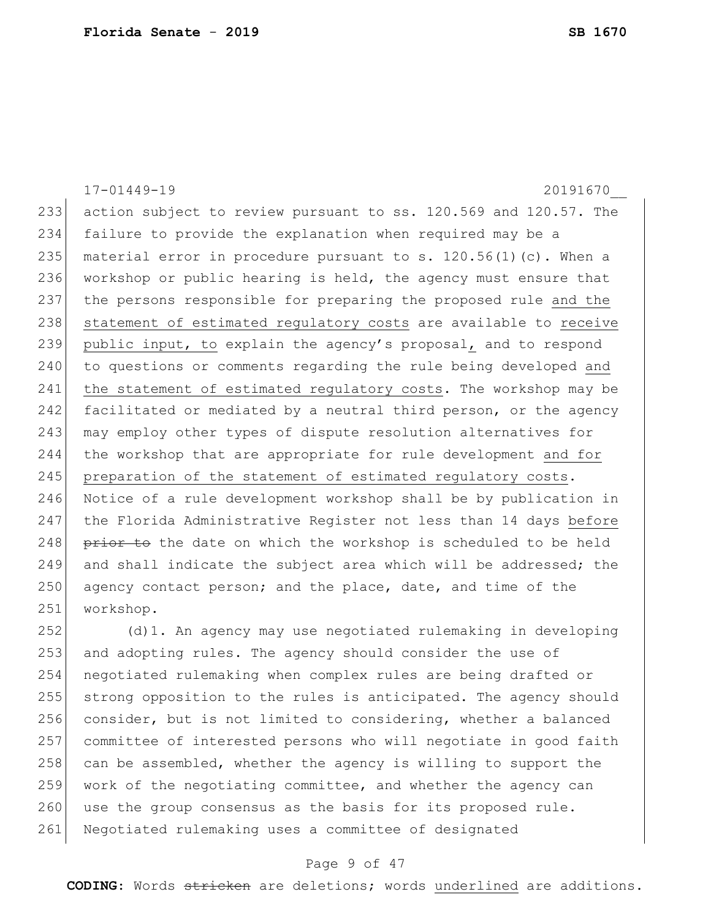|     | $17 - 01449 - 19$<br>20191670                                      |
|-----|--------------------------------------------------------------------|
| 233 | action subject to review pursuant to ss. 120.569 and 120.57. The   |
| 234 | failure to provide the explanation when required may be a          |
| 235 | material error in procedure pursuant to s. $120.56(1)(c)$ . When a |
| 236 | workshop or public hearing is held, the agency must ensure that    |
| 237 | the persons responsible for preparing the proposed rule and the    |
| 238 | statement of estimated regulatory costs are available to receive   |
| 239 | public input, to explain the agency's proposal, and to respond     |
| 240 | to questions or comments regarding the rule being developed and    |
| 241 | the statement of estimated regulatory costs. The workshop may be   |
| 242 | facilitated or mediated by a neutral third person, or the agency   |
| 243 | may employ other types of dispute resolution alternatives for      |
| 244 | the workshop that are appropriate for rule development and for     |
| 245 | preparation of the statement of estimated regulatory costs.        |
| 246 | Notice of a rule development workshop shall be by publication in   |
| 247 | the Florida Administrative Register not less than 14 days before   |
| 248 | prior to the date on which the workshop is scheduled to be held    |
| 249 | and shall indicate the subject area which will be addressed; the   |
| 250 | agency contact person; and the place, date, and time of the        |
| 251 | workshop.                                                          |
| 252 | (d) 1. An agency may use negotiated rulemaking in developing       |

253 and adopting rules. The agency should consider the use of negotiated rulemaking when complex rules are being drafted or 255 strong opposition to the rules is anticipated. The agency should 256 consider, but is not limited to considering, whether a balanced committee of interested persons who will negotiate in good faith 258 can be assembled, whether the agency is willing to support the 259 work of the negotiating committee, and whether the agency can 260 use the group consensus as the basis for its proposed rule. 261 Negotiated rulemaking uses a committee of designated

### Page 9 of 47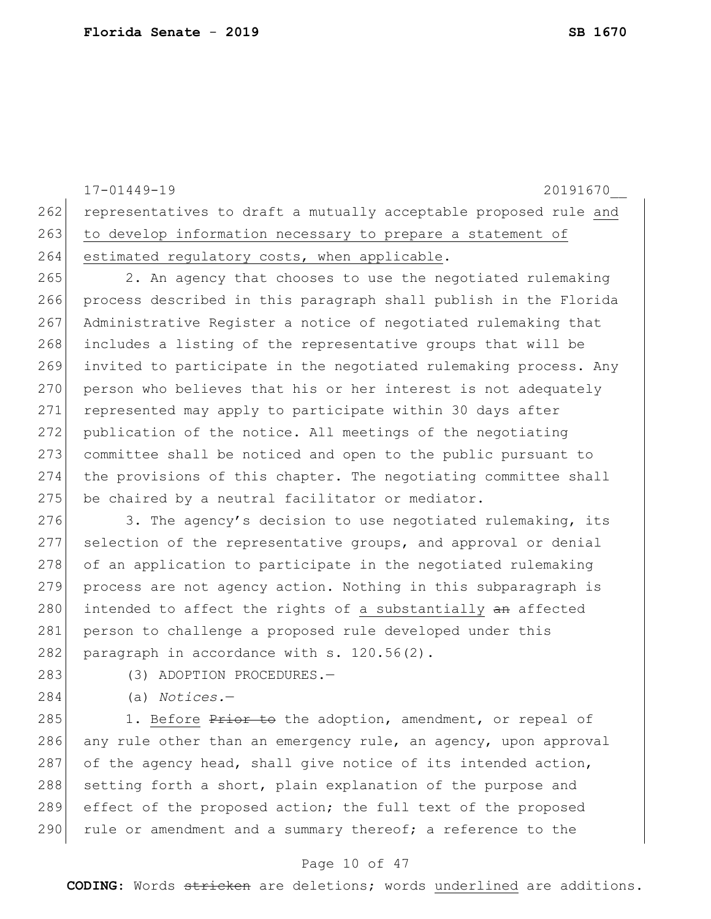17-01449-19 20191670\_\_ 262 representatives to draft a mutually acceptable proposed rule and 263 to develop information necessary to prepare a statement of 264 estimated regulatory costs, when applicable. 265 2. An agency that chooses to use the negotiated rulemaking 266 process described in this paragraph shall publish in the Florida 267 Administrative Register a notice of negotiated rulemaking that 268 includes a listing of the representative groups that will be 269 invited to participate in the negotiated rulemaking process. Any 270 person who believes that his or her interest is not adequately 271 represented may apply to participate within 30 days after 272 publication of the notice. All meetings of the negotiating 273 committee shall be noticed and open to the public pursuant to 274 the provisions of this chapter. The negotiating committee shall 275 be chaired by a neutral facilitator or mediator. 276 3. The agency's decision to use negotiated rulemaking, its 277 selection of the representative groups, and approval or denial 278 of an application to participate in the negotiated rulemaking 279 process are not agency action. Nothing in this subparagraph is 280 intended to affect the rights of a substantially an affected 281 person to challenge a proposed rule developed under this 282 paragraph in accordance with  $s. 120.56(2)$ . 283 (3) ADOPTION PROCEDURES. 284 (a) *Notices.*— 285 1. Before  $P$ rior to the adoption, amendment, or repeal of 286 any rule other than an emergency rule, an agency, upon approval 287 of the agency head, shall give notice of its intended action, 288 setting forth a short, plain explanation of the purpose and 289 effect of the proposed action; the full text of the proposed

### Page 10 of 47

 $290$  rule or amendment and a summary thereof; a reference to the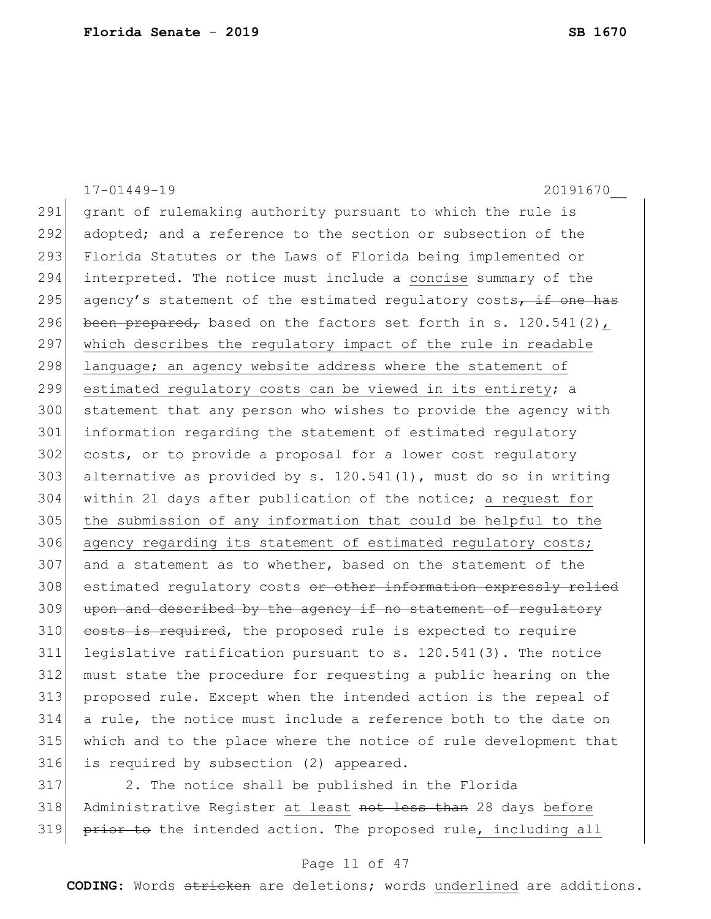|     | $17 - 01449 - 19$<br>20191670                                    |
|-----|------------------------------------------------------------------|
| 291 | grant of rulemaking authority pursuant to which the rule is      |
| 292 | adopted; and a reference to the section or subsection of the     |
| 293 | Florida Statutes or the Laws of Florida being implemented or     |
| 294 | interpreted. The notice must include a concise summary of the    |
| 295 | agency's statement of the estimated regulatory costs, if one has |
| 296 | been prepared, based on the factors set forth in s. 120.541(2),  |
| 297 | which describes the regulatory impact of the rule in readable    |
| 298 | language; an agency website address where the statement of       |
| 299 | estimated regulatory costs can be viewed in its entirety; a      |
| 300 | statement that any person who wishes to provide the agency with  |
| 301 | information regarding the statement of estimated regulatory      |
| 302 | costs, or to provide a proposal for a lower cost requlatory      |
| 303 | alternative as provided by s. 120.541(1), must do so in writing  |
| 304 | within 21 days after publication of the notice; a request for    |
| 305 | the submission of any information that could be helpful to the   |
| 306 | agency regarding its statement of estimated regulatory costs;    |
| 307 | and a statement as to whether, based on the statement of the     |
| 308 | estimated regulatory costs or other information expressly relied |
| 309 | upon and described by the agency if no statement of regulatory   |
| 310 | costs is required, the proposed rule is expected to require      |
| 311 | legislative ratification pursuant to s. 120.541(3). The notice   |
| 312 | must state the procedure for requesting a public hearing on the  |
| 313 | proposed rule. Except when the intended action is the repeal of  |
| 314 | a rule, the notice must include a reference both to the date on  |
| 315 | which and to the place where the notice of rule development that |
| 316 | is required by subsection (2) appeared.                          |
| 317 | 2. The notice shall be published in the Florida                  |

318 Administrative Register at least not less than 28 days before 319 prior to the intended action. The proposed rule, including all

# Page 11 of 47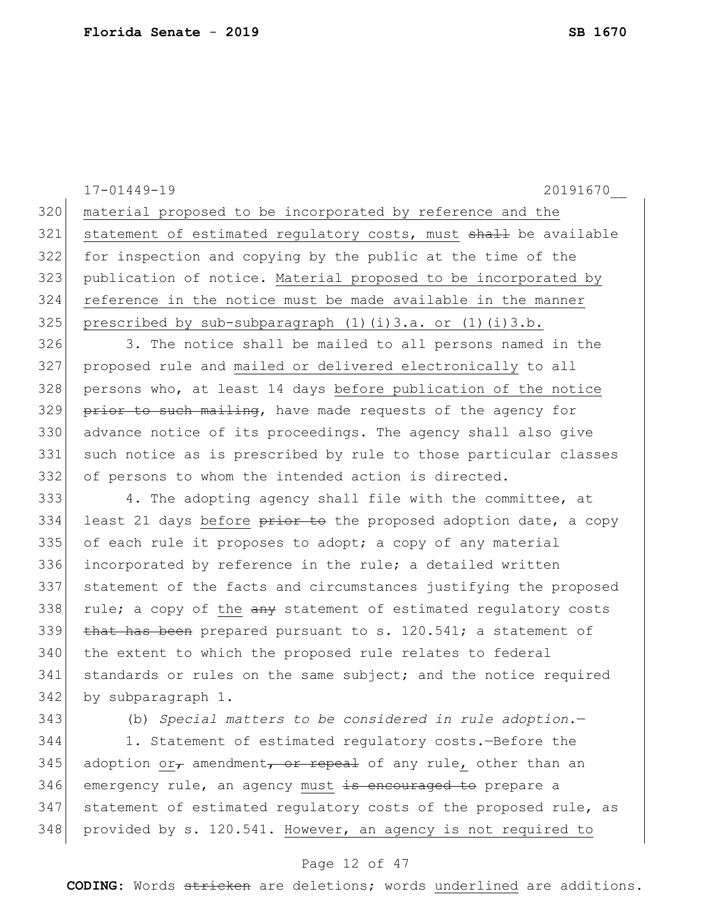|     | $17 - 01449 - 19$<br>20191670                                            |
|-----|--------------------------------------------------------------------------|
| 320 | material proposed to be incorporated by reference and the                |
| 321 | statement of estimated regulatory costs, must shall be available         |
| 322 | for inspection and copying by the public at the time of the              |
| 323 | publication of notice. Material proposed to be incorporated by           |
| 324 | reference in the notice must be made available in the manner             |
| 325 | prescribed by sub-subparagraph $(1)$ $(i)$ $3.a.$ or $(1)$ $(i)$ $3.b.$  |
| 326 | 3. The notice shall be mailed to all persons named in the                |
| 327 | proposed rule and mailed or delivered electronically to all              |
| 328 | persons who, at least 14 days before publication of the notice           |
| 329 | prior to such mailing, have made requests of the agency for              |
| 330 | advance notice of its proceedings. The agency shall also give            |
| 331 | such notice as is prescribed by rule to those particular classes         |
| 332 | of persons to whom the intended action is directed.                      |
| 333 | 4. The adopting agency shall file with the committee, at                 |
| 334 | least 21 days before prior to the proposed adoption date, a copy         |
| 335 | of each rule it proposes to adopt; a copy of any material                |
| 336 | incorporated by reference in the rule; a detailed written                |
| 337 | statement of the facts and circumstances justifying the proposed         |
| 338 | rule; a copy of the any statement of estimated regulatory costs          |
| 339 | that has been prepared pursuant to s. 120.541; a statement of            |
| 340 | the extent to which the proposed rule relates to federal                 |
| 341 | standards or rules on the same subject; and the notice required          |
| 342 | by subparagraph 1.                                                       |
| 343 | (b) Special matters to be considered in rule adoption.-                  |
| 344 | 1. Statement of estimated regulatory costs.-Before the                   |
| 345 | adoption or <sub>r</sub> amendment, or repeal of any rule, other than an |
| 346 | emergency rule, an agency must is encouraged to prepare a                |
| 347 | statement of estimated regulatory costs of the proposed rule, as         |
| 348 | provided by s. 120.541. However, an agency is not required to            |

# Page 12 of 47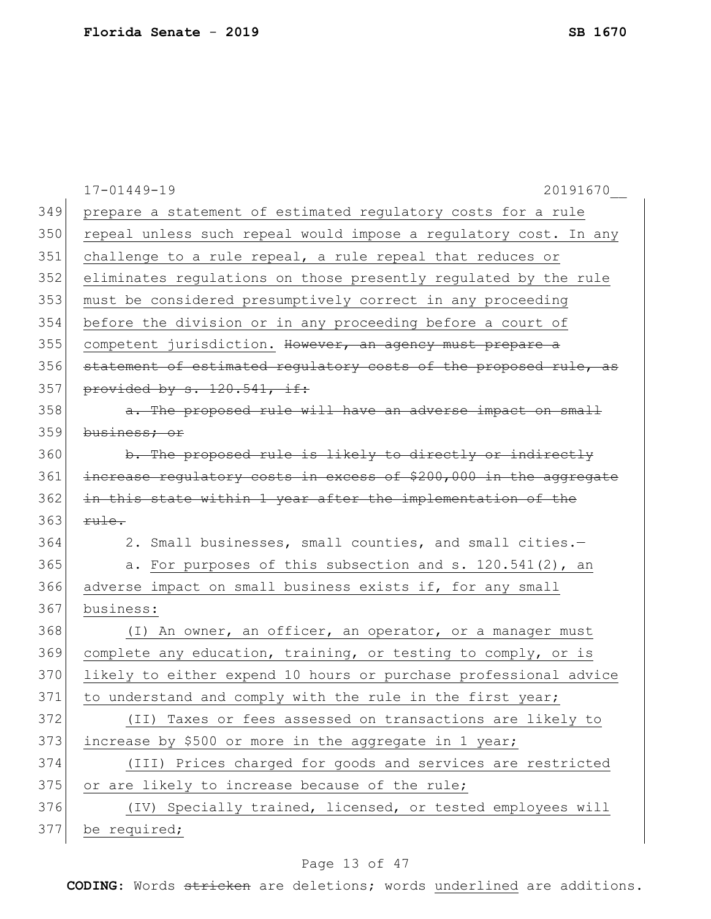| 349<br>prepare a statement of estimated regulatory costs for a rule      |  |
|--------------------------------------------------------------------------|--|
|                                                                          |  |
| 350<br>repeal unless such repeal would impose a regulatory cost. In any  |  |
| 351<br>challenge to a rule repeal, a rule repeal that reduces or         |  |
| 352<br>eliminates regulations on those presently regulated by the rule   |  |
| 353<br>must be considered presumptively correct in any proceeding        |  |
| 354<br>before the division or in any proceeding before a court of        |  |
| 355<br>competent jurisdiction. However, an agency must prepare a         |  |
| 356<br>statement of estimated regulatory costs of the proposed rule, as  |  |
| 357<br>provided by s. 120.541, if:                                       |  |
| 358<br>a. The proposed rule will have an adverse impact on small         |  |
| 359<br>business; or                                                      |  |
| 360<br>b. The proposed rule is likely to directly or indirectly          |  |
| 361<br>increase requlatory costs in excess of \$200,000 in the aggregate |  |
| 362<br>in this state within 1 year after the implementation of the       |  |
| 363<br>rule.                                                             |  |
| 364<br>2. Small businesses, small counties, and small cities.-           |  |
| 365<br>a. For purposes of this subsection and s. 120.541(2), an          |  |
| 366<br>adverse impact on small business exists if, for any small         |  |
| 367<br>business:                                                         |  |
| 368<br>(I) An owner, an officer, an operator, or a manager must          |  |
| 369<br>complete any education, training, or testing to comply, or is     |  |
| 370<br>likely to either expend 10 hours or purchase professional advice  |  |
| 371<br>to understand and comply with the rule in the first year;         |  |
| 372<br>(II) Taxes or fees assessed on transactions are likely to         |  |
| 373<br>increase by \$500 or more in the aggregate in 1 year;             |  |
| 374<br>(III) Prices charged for goods and services are restricted        |  |
| 375<br>or are likely to increase because of the rule;                    |  |
| 376<br>(IV) Specially trained, licensed, or tested employees will        |  |
| 377<br>be required;                                                      |  |

# Page 13 of 47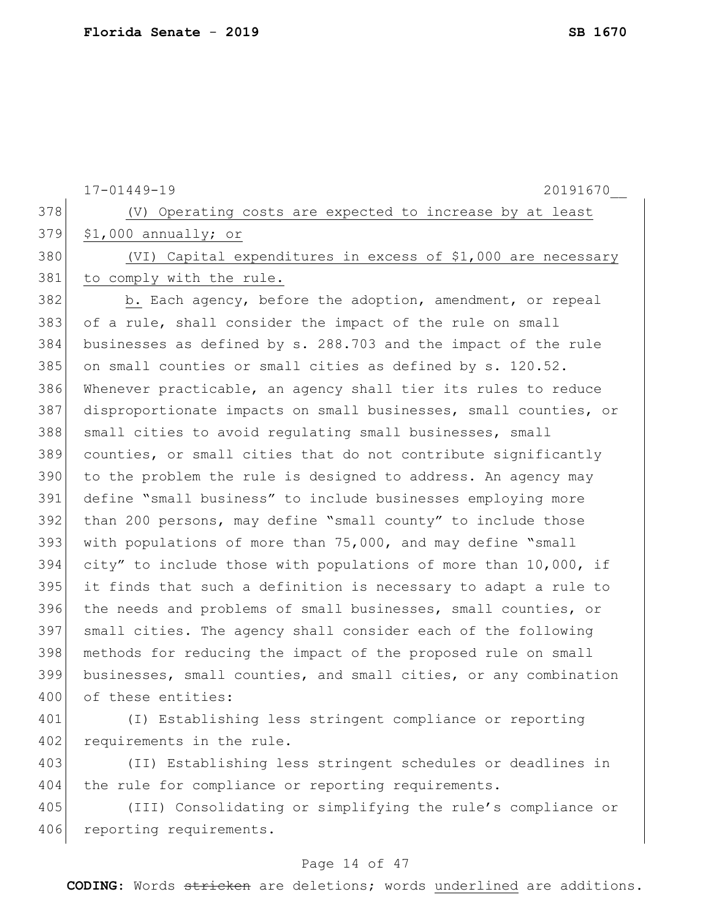17-01449-19 20191670\_\_ 378 (V) Operating costs are expected to increase by at least \$1,000 annually; or (VI) Capital expenditures in excess of \$1,000 are necessary to comply with the rule. 382 b. Each agency, before the adoption, amendment, or repeal of a rule, shall consider the impact of the rule on small businesses as defined by s. 288.703 and the impact of the rule 385 on small counties or small cities as defined by s. 120.52. Whenever practicable, an agency shall tier its rules to reduce disproportionate impacts on small businesses, small counties, or 388 small cities to avoid regulating small businesses, small counties, or small cities that do not contribute significantly to the problem the rule is designed to address. An agency may define "small business" to include businesses employing more than 200 persons, may define "small county" to include those with populations of more than 75,000, and may define "small city" to include those with populations of more than 10,000, if it finds that such a definition is necessary to adapt a rule to the needs and problems of small businesses, small counties, or small cities. The agency shall consider each of the following methods for reducing the impact of the proposed rule on small businesses, small counties, and small cities, or any combination 400 of these entities: (I) Establishing less stringent compliance or reporting 402 requirements in the rule. (II) Establishing less stringent schedules or deadlines in 404 the rule for compliance or reporting requirements. (III) Consolidating or simplifying the rule's compliance or

406 reporting requirements.

### Page 14 of 47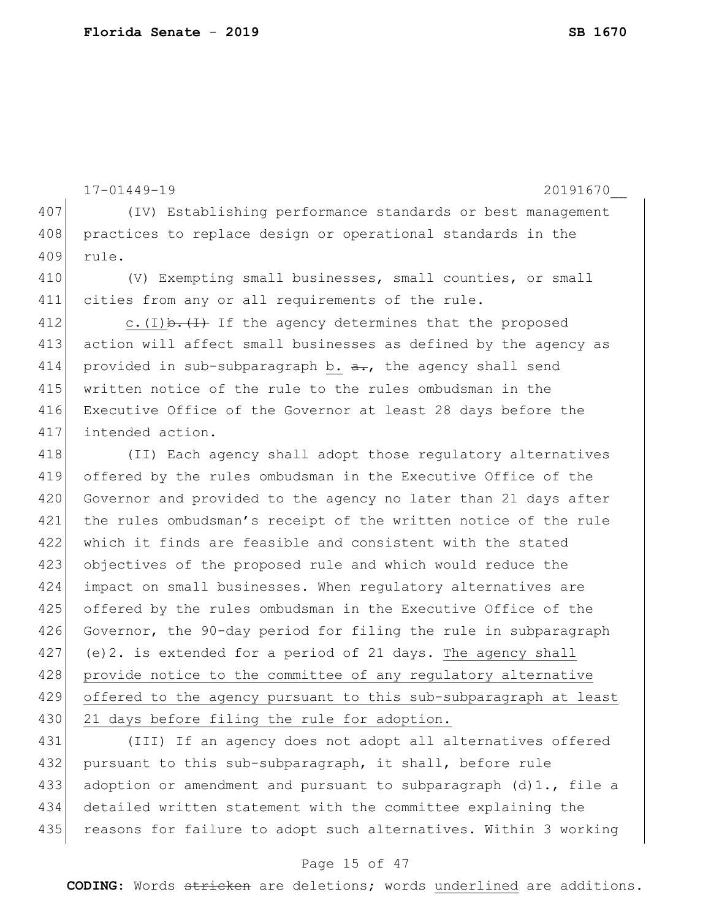```
17-01449-19 20191670__
407 (IV) Establishing performance standards or best management
408 practices to replace design or operational standards in the
409 rule.
410 (V) Exempting small businesses, small counties, or small
411 cities from any or all requirements of the rule.
412 c.(I) \frac{1}{2} If the agency determines that the proposed
413 action will affect small businesses as defined by the agency as 
414 provided in sub-subparagraph b. a_{\tau}, the agency shall send
415 written notice of the rule to the rules ombudsman in the 
416 Executive Office of the Governor at least 28 days before the 
417 intended action.
418 (II) Each agency shall adopt those regulatory alternatives
419 offered by the rules ombudsman in the Executive Office of the 
420 Governor and provided to the agency no later than 21 days after
421 the rules ombudsman's receipt of the written notice of the rule 
422 which it finds are feasible and consistent with the stated 
423 objectives of the proposed rule and which would reduce the 
424 impact on small businesses. When regulatory alternatives are 
425 offered by the rules ombudsman in the Executive Office of the 
426 Governor, the 90-day period for filing the rule in subparagraph
427 (e)2. is extended for a period of 21 days. The agency shall
428 provide notice to the committee of any regulatory alternative
429 offered to the agency pursuant to this sub-subparagraph at least
430 21 days before filing the rule for adoption.
```
431 (III) If an agency does not adopt all alternatives offered 432 pursuant to this sub-subparagraph, it shall, before rule 433 adoption or amendment and pursuant to subparagraph  $(d)1$ ., file a 434 detailed written statement with the committee explaining the 435 reasons for failure to adopt such alternatives. Within 3 working

## Page 15 of 47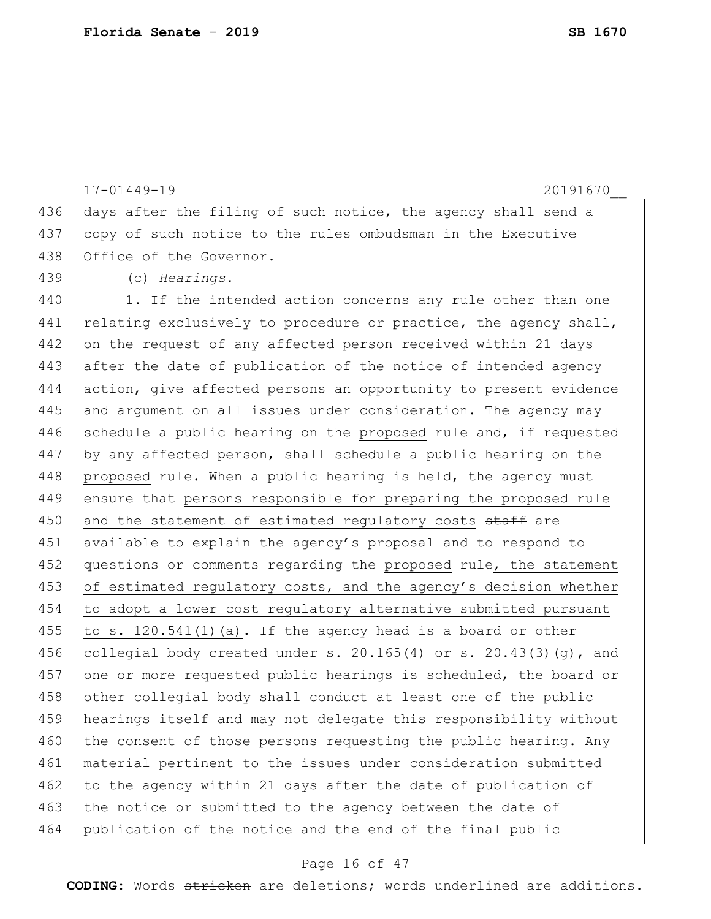17-01449-19 20191670\_\_ 436 days after the filing of such notice, the agency shall send a 437 copy of such notice to the rules ombudsman in the Executive 438 Office of the Governor. 439 (c) *Hearings.*— 440 1. If the intended action concerns any rule other than one 441 relating exclusively to procedure or practice, the agency shall, 442 on the request of any affected person received within 21 days 443 after the date of publication of the notice of intended agency 444 action, give affected persons an opportunity to present evidence 445 and argument on all issues under consideration. The agency may 446 schedule a public hearing on the proposed rule and, if requested 447 by any affected person, shall schedule a public hearing on the 448 proposed rule. When a public hearing is held, the agency must 449 ensure that persons responsible for preparing the proposed rule 450 and the statement of estimated requlatory costs staff are 451 available to explain the agency's proposal and to respond to 452 questions or comments regarding the proposed rule, the statement 453 of estimated regulatory costs, and the agency's decision whether 454 to adopt a lower cost regulatory alternative submitted pursuant 455 to s.  $120.541(1)(a)$ . If the agency head is a board or other 456 collegial body created under s.  $20.165(4)$  or s.  $20.43(3)(q)$ , and 457 one or more requested public hearings is scheduled, the board or 458 other collegial body shall conduct at least one of the public 459 hearings itself and may not delegate this responsibility without 460 the consent of those persons requesting the public hearing. Any 461 material pertinent to the issues under consideration submitted 462 to the agency within 21 days after the date of publication of 463 the notice or submitted to the agency between the date of 464 publication of the notice and the end of the final public

### Page 16 of 47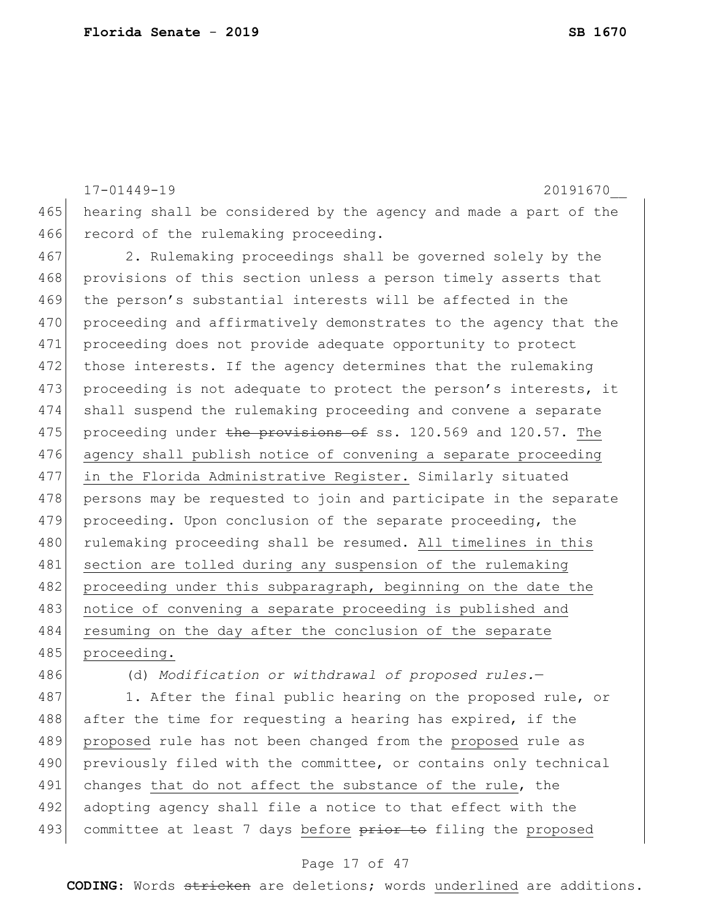17-01449-19 20191670\_\_ 465 hearing shall be considered by the agency and made a part of the 466 record of the rulemaking proceeding. 467 2. Rulemaking proceedings shall be governed solely by the 468 provisions of this section unless a person timely asserts that

469 the person's substantial interests will be affected in the 470 proceeding and affirmatively demonstrates to the agency that the 471 proceeding does not provide adequate opportunity to protect 472 those interests. If the agency determines that the rulemaking 473 proceeding is not adequate to protect the person's interests, it 474 shall suspend the rulemaking proceeding and convene a separate 475 proceeding under the provisions of ss. 120.569 and 120.57. The 476 agency shall publish notice of convening a separate proceeding 477 in the Florida Administrative Register. Similarly situated 478 persons may be requested to join and participate in the separate 479 proceeding. Upon conclusion of the separate proceeding, the 480 rulemaking proceeding shall be resumed. All timelines in this 481 section are tolled during any suspension of the rulemaking 482 proceeding under this subparagraph, beginning on the date the 483 | notice of convening a separate proceeding is published and 484 resuming on the day after the conclusion of the separate 485 proceeding.

486 (d) *Modification or withdrawal of proposed rules.*—

487 1. After the final public hearing on the proposed rule, or 488 after the time for requesting a hearing has expired, if the 489 proposed rule has not been changed from the proposed rule as 490 previously filed with the committee, or contains only technical 491 changes that do not affect the substance of the rule, the 492 adopting agency shall file a notice to that effect with the 493 committee at least 7 days before prior to filing the proposed

### Page 17 of 47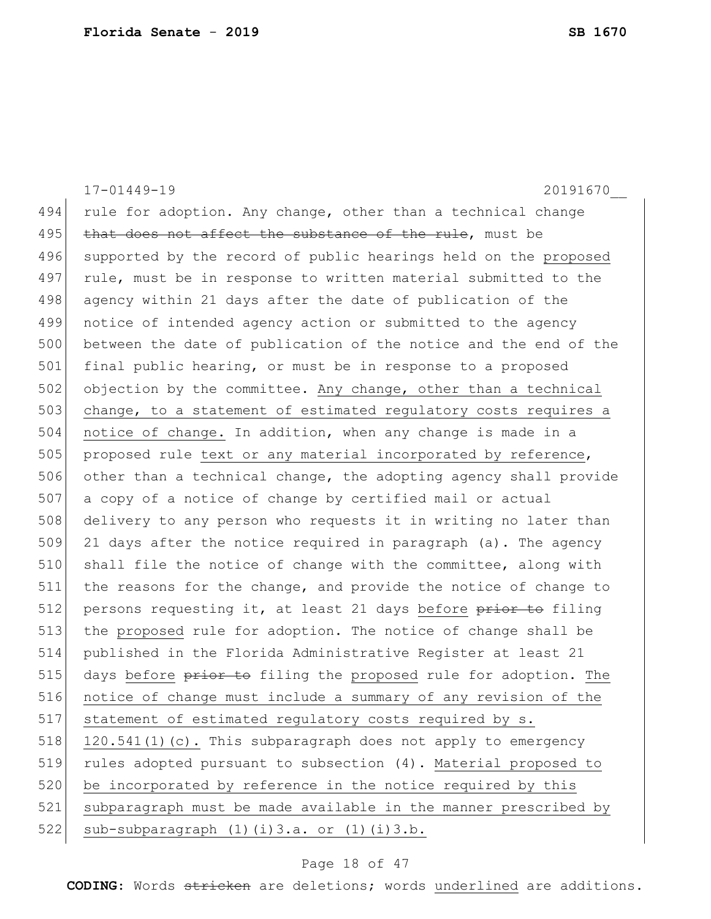17-01449-19 20191670\_\_ 494 rule for adoption. Any change, other than a technical change 495 that does not affect the substance of the rule, must be 496 supported by the record of public hearings held on the proposed 497 rule, must be in response to written material submitted to the 498 agency within 21 days after the date of publication of the 499 notice of intended agency action or submitted to the agency 500 between the date of publication of the notice and the end of the 501 final public hearing, or must be in response to a proposed 502 objection by the committee. Any change, other than a technical 503 change, to a statement of estimated regulatory costs requires a 504 notice of change. In addition, when any change is made in a 505 proposed rule text or any material incorporated by reference, 506 other than a technical change, the adopting agency shall provide 507 a copy of a notice of change by certified mail or actual 508 delivery to any person who requests it in writing no later than  $509$  21 days after the notice required in paragraph (a). The agency 510 shall file the notice of change with the committee, along with 511 the reasons for the change, and provide the notice of change to 512 persons requesting it, at least 21 days before prior to filing 513 the proposed rule for adoption. The notice of change shall be 514 published in the Florida Administrative Register at least 21 515 days before prior to filing the proposed rule for adoption. The 516 notice of change must include a summary of any revision of the 517 statement of estimated regulatory costs required by s. 518 120.541(1)(c). This subparagraph does not apply to emergency 519 rules adopted pursuant to subsection (4). Material proposed to 520 be incorporated by reference in the notice required by this 521 subparagraph must be made available in the manner prescribed by 522 sub-subparagraph  $(1)(i)3.a.$  or  $(1)(i)3.b.$ 

### Page 18 of 47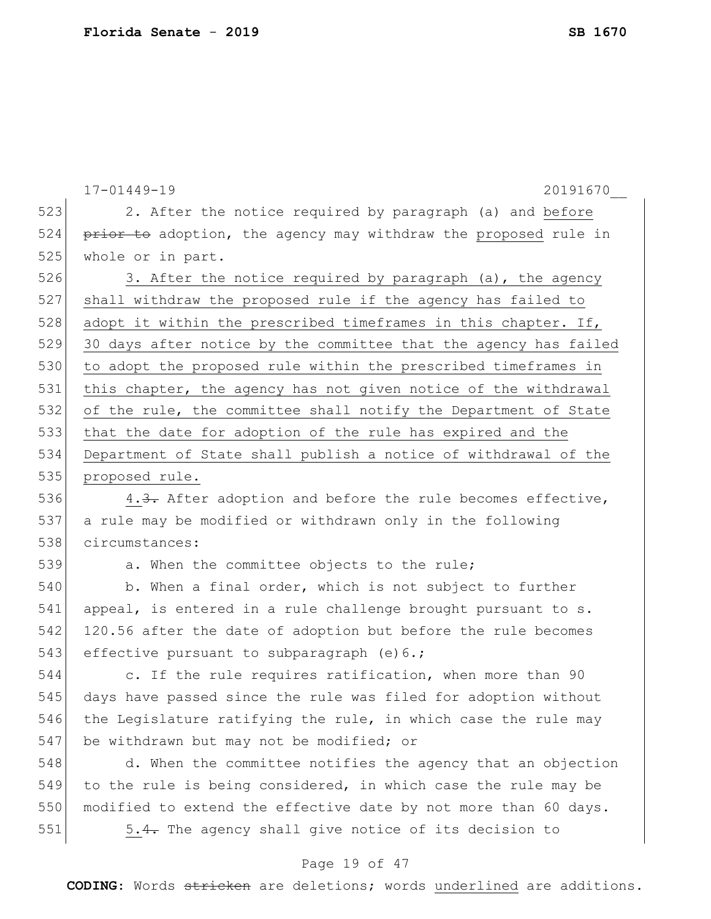|     | $17 - 01449 - 19$<br>20191670                                    |
|-----|------------------------------------------------------------------|
| 523 | 2. After the notice required by paragraph (a) and before         |
| 524 | prior to adoption, the agency may withdraw the proposed rule in  |
| 525 | whole or in part.                                                |
| 526 | 3. After the notice required by paragraph (a), the agency        |
| 527 | shall withdraw the proposed rule if the agency has failed to     |
| 528 | adopt it within the prescribed timeframes in this chapter. If,   |
| 529 | 30 days after notice by the committee that the agency has failed |
| 530 | to adopt the proposed rule within the prescribed timeframes in   |
| 531 | this chapter, the agency has not given notice of the withdrawal  |
| 532 | of the rule, the committee shall notify the Department of State  |
| 533 | that the date for adoption of the rule has expired and the       |
| 534 | Department of State shall publish a notice of withdrawal of the  |
| 535 | proposed rule.                                                   |
| 536 | 4.3. After adoption and before the rule becomes effective,       |
| 537 | a rule may be modified or withdrawn only in the following        |
| 538 | circumstances:                                                   |
| 539 | a. When the committee objects to the rule;                       |
| 540 | b. When a final order, which is not subject to further           |
| 541 | appeal, is entered in a rule challenge brought pursuant to s.    |
| 542 | 120.56 after the date of adoption but before the rule becomes    |
| 543 | effective pursuant to subparagraph (e) 6.;                       |
| 544 | c. If the rule requires ratification, when more than 90          |
| 545 | days have passed since the rule was filed for adoption without   |
| 546 | the Legislature ratifying the rule, in which case the rule may   |
| 547 | be withdrawn but may not be modified; or                         |
| 548 | d. When the committee notifies the agency that an objection      |
| 549 | to the rule is being considered, in which case the rule may be   |
| 550 | modified to extend the effective date by not more than 60 days.  |
| 551 | 5.4. The agency shall give notice of its decision to             |
|     | Page 19 of 47                                                    |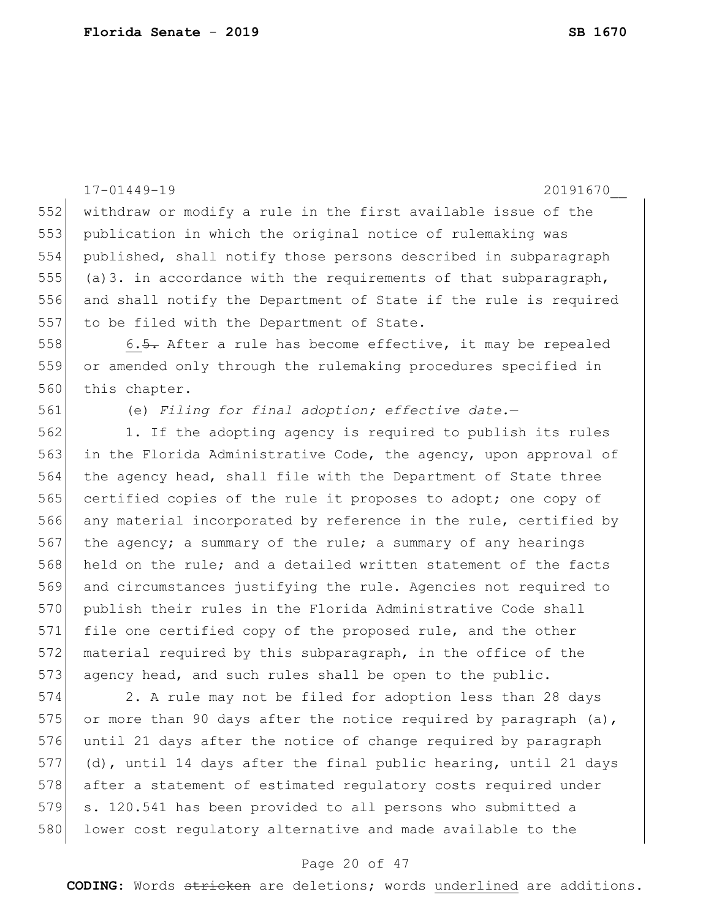|     | $17 - 01449 - 19$<br>20191670                                    |
|-----|------------------------------------------------------------------|
| 552 | withdraw or modify a rule in the first available issue of the    |
| 553 | publication in which the original notice of rulemaking was       |
| 554 | published, shall notify those persons described in subparagraph  |
| 555 | (a) 3. in accordance with the requirements of that subparagraph, |
| 556 | and shall notify the Department of State if the rule is required |
| 557 | to be filed with the Department of State.                        |
| 558 | 6.5. After a rule has become effective, it may be repealed       |
| 559 | or amended only through the rulemaking procedures specified in   |
| 560 | this chapter.                                                    |
| 561 | (e) Filing for final adoption; effective date.-                  |
| 562 | 1. If the adopting agency is required to publish its rules       |
| 563 | in the Florida Administrative Code, the agency, upon approval of |
| 564 | the agency head, shall file with the Department of State three   |
| 565 | certified copies of the rule it proposes to adopt; one copy of   |
| 566 | any material incorporated by reference in the rule, certified by |
| 567 | the agency; a summary of the rule; a summary of any hearings     |
| 568 | held on the rule; and a detailed written statement of the facts  |
| 569 | and circumstances justifying the rule. Agencies not required to  |
| 570 | publish their rules in the Florida Administrative Code shall     |
| 571 | file one certified copy of the proposed rule, and the other      |
| 572 | material required by this subparagraph, in the office of the     |
| 573 | agency head, and such rules shall be open to the public.         |
| 574 | 2. A rule may not be filed for adoption less than 28 days        |
| 575 | or more than 90 days after the notice required by paragraph (a), |
| 576 | until 21 days after the notice of change required by paragraph   |
| 577 | (d), until 14 days after the final public hearing, until 21 days |
| 578 | after a statement of estimated regulatory costs required under   |
| 579 | s. 120.541 has been provided to all persons who submitted a      |
| 580 | lower cost regulatory alternative and made available to the      |

# Page 20 of 47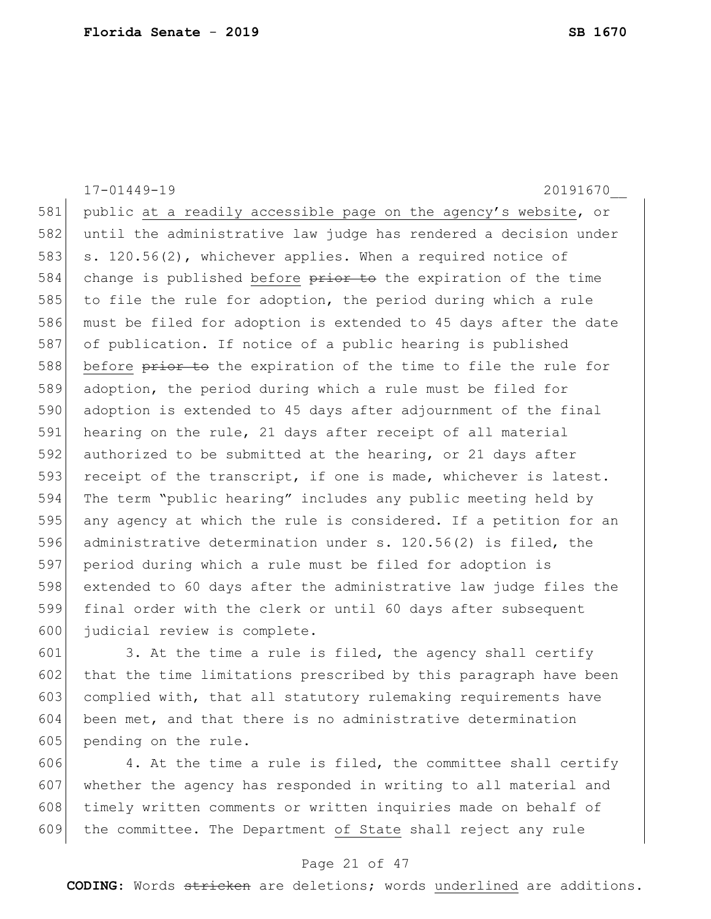17-01449-19 20191670\_\_ 581 public at a readily accessible page on the agency's website, or 582 until the administrative law judge has rendered a decision under 583 s. 120.56(2), whichever applies. When a required notice of 584 change is published before prior to the expiration of the time 585 to file the rule for adoption, the period during which a rule 586 must be filed for adoption is extended to 45 days after the date 587 of publication. If notice of a public hearing is published 588 before prior to the expiration of the time to file the rule for 589 adoption, the period during which a rule must be filed for 590 adoption is extended to 45 days after adjournment of the final 591 hearing on the rule, 21 days after receipt of all material 592 authorized to be submitted at the hearing, or 21 days after 593 receipt of the transcript, if one is made, whichever is latest. 594 The term "public hearing" includes any public meeting held by 595 any agency at which the rule is considered. If a petition for an 596 administrative determination under s. 120.56(2) is filed, the 597 period during which a rule must be filed for adoption is 598 extended to 60 days after the administrative law judge files the 599 final order with the clerk or until 60 days after subsequent 600 judicial review is complete.  $601$  3. At the time a rule is filed, the agency shall certify

602 that the time limitations prescribed by this paragraph have been 603 complied with, that all statutory rulemaking requirements have 604 been met, and that there is no administrative determination 605 pending on the rule.

 4. At the time a rule is filed, the committee shall certify whether the agency has responded in writing to all material and 608 timely written comments or written inquiries made on behalf of the committee. The Department of State shall reject any rule

### Page 21 of 47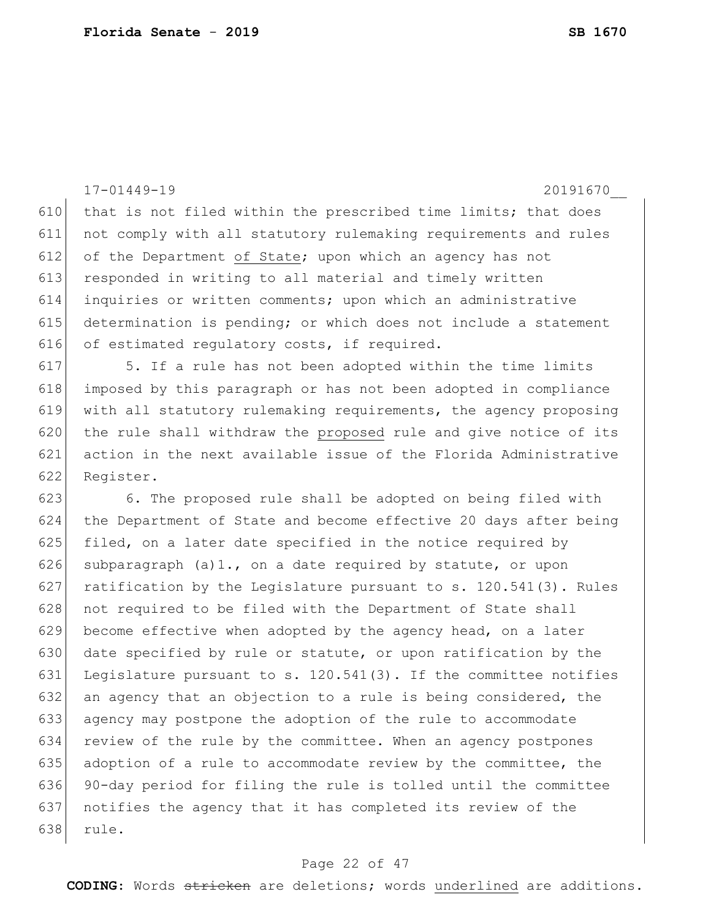|     | $17 - 01449 - 19$<br>20191670                                    |
|-----|------------------------------------------------------------------|
| 610 | that is not filed within the prescribed time limits; that does   |
| 611 | not comply with all statutory rulemaking requirements and rules  |
| 612 | of the Department of State; upon which an agency has not         |
| 613 | responded in writing to all material and timely written          |
| 614 | inquiries or written comments; upon which an administrative      |
| 615 | determination is pending; or which does not include a statement  |
| 616 | of estimated regulatory costs, if required.                      |
| 617 | 5. If a rule has not been adopted within the time limits         |
| 618 | imposed by this paragraph or has not been adopted in compliance  |
| 619 | with all statutory rulemaking requirements, the agency proposing |
| 620 | the rule shall withdraw the proposed rule and give notice of its |
| 621 | action in the next available issue of the Florida Administrative |
| 622 | Register.                                                        |
| 623 | 6. The proposed rule shall be adopted on being filed with        |
| 624 | the Department of State and become effective 20 days after being |
| 625 | filed, on a later date specified in the notice required by       |
| 626 | subparagraph (a)1., on a date required by statute, or upon       |
| 627 | ratification by the Legislature pursuant to s. 120.541(3). Rules |
| 628 | not required to be filed with the Department of State shall      |
| 629 | become effective when adopted by the agency head, on a later     |
| 630 | date specified by rule or statute, or upon ratification by the   |
| 631 | Legislature pursuant to s. 120.541(3). If the committee notifies |
| 632 | an agency that an objection to a rule is being considered, the   |
| 633 | agency may postpone the adoption of the rule to accommodate      |
| 634 | review of the rule by the committee. When an agency postpones    |
| 635 | adoption of a rule to accommodate review by the committee, the   |
| 636 | 90-day period for filing the rule is tolled until the committee  |
| 637 | notifies the agency that it has completed its review of the      |
| 638 | rule.                                                            |

# Page 22 of 47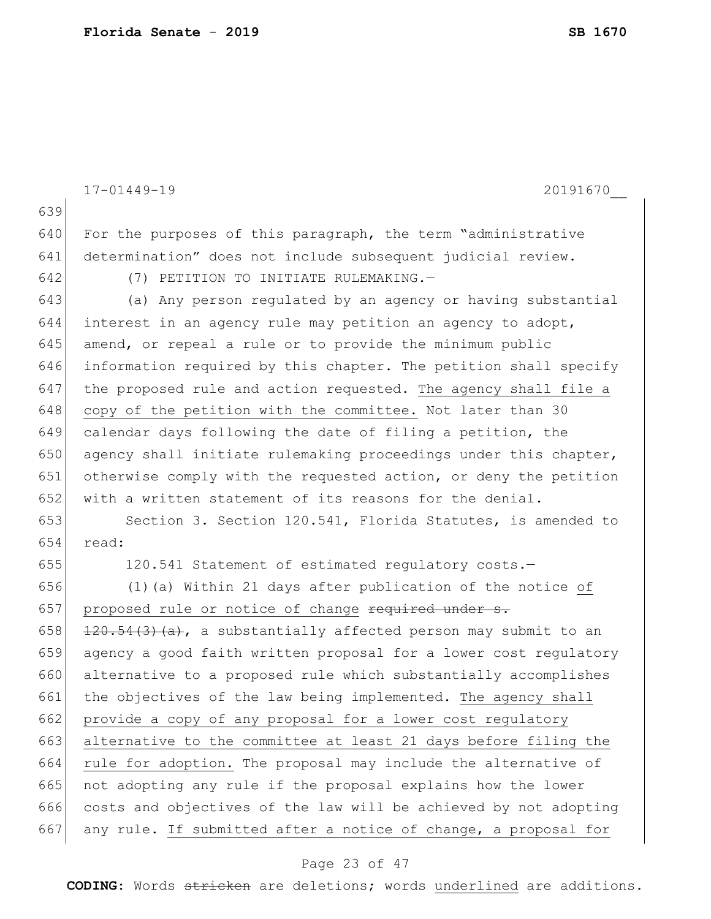17-01449-19 20191670\_\_ 639 640 For the purposes of this paragraph, the term "administrative 641 determination" does not include subsequent judicial review. 642 (7) PETITION TO INITIATE RULEMAKING.— 643 (a) Any person regulated by an agency or having substantial 644 interest in an agency rule may petition an agency to adopt,  $645$  amend, or repeal a rule or to provide the minimum public 646 information required by this chapter. The petition shall specify 647 the proposed rule and action requested. The agency shall file a 648 copy of the petition with the committee. Not later than 30 649 calendar days following the date of filing a petition, the 650 agency shall initiate rulemaking proceedings under this chapter, 651 otherwise comply with the requested action, or deny the petition 652 with a written statement of its reasons for the denial. 653 Section 3. Section 120.541, Florida Statutes, is amended to 654 read: 655 120.541 Statement of estimated regulatory costs.— 656  $(1)$  (a) Within 21 days after publication of the notice of 657 proposed rule or notice of change required under s. 658  $\left| \frac{120.54(3)(a)}{a} \right|$ , a substantially affected person may submit to an 659 agency a good faith written proposal for a lower cost regulatory 660 alternative to a proposed rule which substantially accomplishes 661 the objectives of the law being implemented. The agency shall 662 provide a copy of any proposal for a lower cost regulatory 663 alternative to the committee at least 21 days before filing the 664 rule for adoption. The proposal may include the alternative of 665 not adopting any rule if the proposal explains how the lower 666 costs and objectives of the law will be achieved by not adopting 667 any rule. If submitted after a notice of change, a proposal for

### Page 23 of 47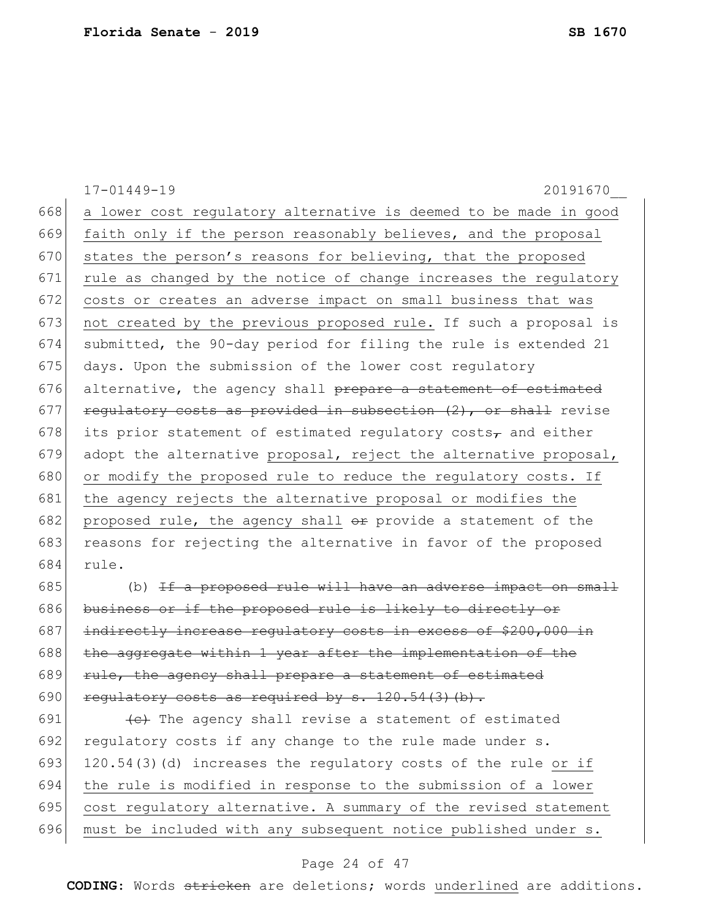|     | $17 - 01449 - 19$<br>20191670                                             |
|-----|---------------------------------------------------------------------------|
| 668 | a lower cost regulatory alternative is deemed to be made in good          |
| 669 | faith only if the person reasonably believes, and the proposal            |
| 670 | states the person's reasons for believing, that the proposed              |
| 671 | rule as changed by the notice of change increases the regulatory          |
| 672 | costs or creates an adverse impact on small business that was             |
| 673 | not created by the previous proposed rule. If such a proposal is          |
| 674 | submitted, the 90-day period for filing the rule is extended 21           |
| 675 | days. Upon the submission of the lower cost regulatory                    |
| 676 | alternative, the agency shall prepare a statement of estimated            |
| 677 | regulatory costs as provided in subsection (2), or shall revise           |
| 678 | its prior statement of estimated regulatory costs <sub>7</sub> and either |
| 679 | adopt the alternative proposal, reject the alternative proposal,          |
| 680 | or modify the proposed rule to reduce the regulatory costs. If            |
| 681 | the agency rejects the alternative proposal or modifies the               |
| 682 | proposed rule, the agency shall or provide a statement of the             |
| 683 | reasons for rejecting the alternative in favor of the proposed            |
| 684 | rule.                                                                     |
| 685 | (b) If a proposed rule will have an adverse impact on small               |
| 686 | business or if the proposed rule is likely to directly or                 |
| 687 | indirectly increase regulatory costs in excess of \$200,000 in            |
| 688 | the aggregate within 1 year after the implementation of the               |
| 689 | rule, the agency shall prepare a statement of estimated                   |
| 690 | regulatory costs as required by s. 120.54(3)(b).                          |
| 691 | (e) The agency shall revise a statement of estimated                      |
| 692 | regulatory costs if any change to the rule made under s.                  |
| 693 | 120.54(3)(d) increases the regulatory costs of the rule or if             |
| 694 | the rule is modified in response to the submission of a lower             |
| 695 | cost regulatory alternative. A summary of the revised statement           |
| 696 | must be included with any subsequent notice published under s.            |
|     |                                                                           |

# Page 24 of 47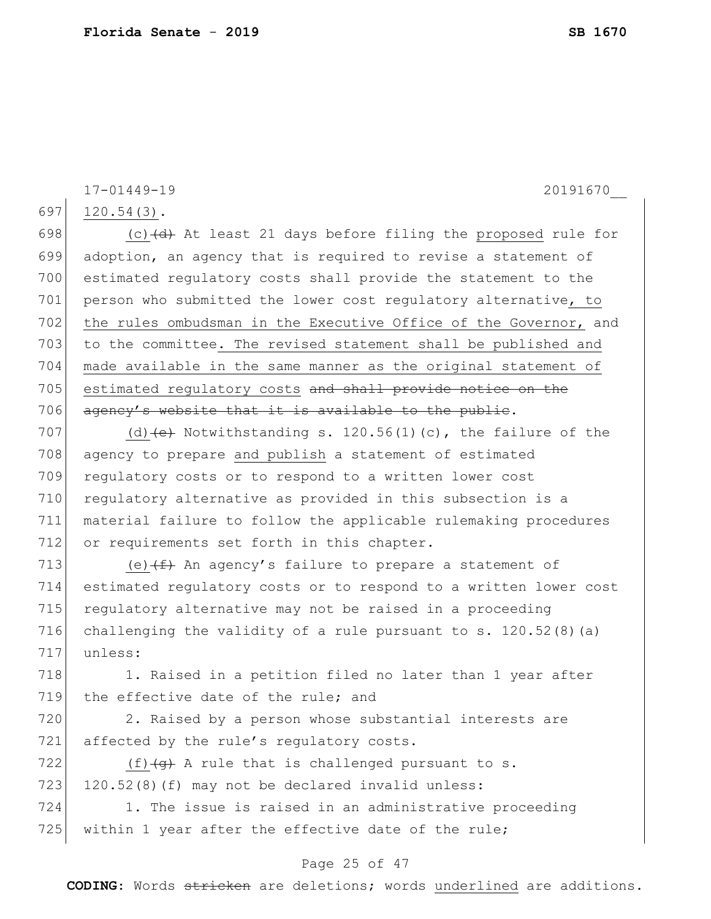697 120.54(3). 698  $(c)$  (c)  $(d)$  At least 21 days before filing the proposed rule for

17-01449-19 20191670\_\_

699 adoption, an agency that is required to revise a statement of 700 estimated regulatory costs shall provide the statement to the 701 person who submitted the lower cost regulatory alternative, to 702 the rules ombudsman in the Executive Office of the Governor, and 703 to the committee. The revised statement shall be published and 704 made available in the same manner as the original statement of 705 estimated regulatory costs and shall provide notice on the 706 agency's website that it is available to the public.

707 (d)  $\left(e\right)$  Notwithstanding s. 120.56(1)(c), the failure of the 708 agency to prepare and publish a statement of estimated 709 regulatory costs or to respond to a written lower cost 710 regulatory alternative as provided in this subsection is a 711 material failure to follow the applicable rulemaking procedures 712 or requirements set forth in this chapter.

713 (e)  $(f + h)$  An agency's failure to prepare a statement of 714 estimated regulatory costs or to respond to a written lower cost 715 regulatory alternative may not be raised in a proceeding 716 challenging the validity of a rule pursuant to s.  $120.52(8)(a)$ 717 unless:

718 1. Raised in a petition filed no later than 1 year after 719 the effective date of the rule; and

720 2. Raised by a person whose substantial interests are 721 affected by the rule's regulatory costs.

722  $(f)$   $\left(\frac{f}{f}\right)$  A rule that is challenged pursuant to s. 723 120.52 $(8)$  (f) may not be declared invalid unless:

724 1. The issue is raised in an administrative proceeding 725 within 1 year after the effective date of the rule;

## Page 25 of 47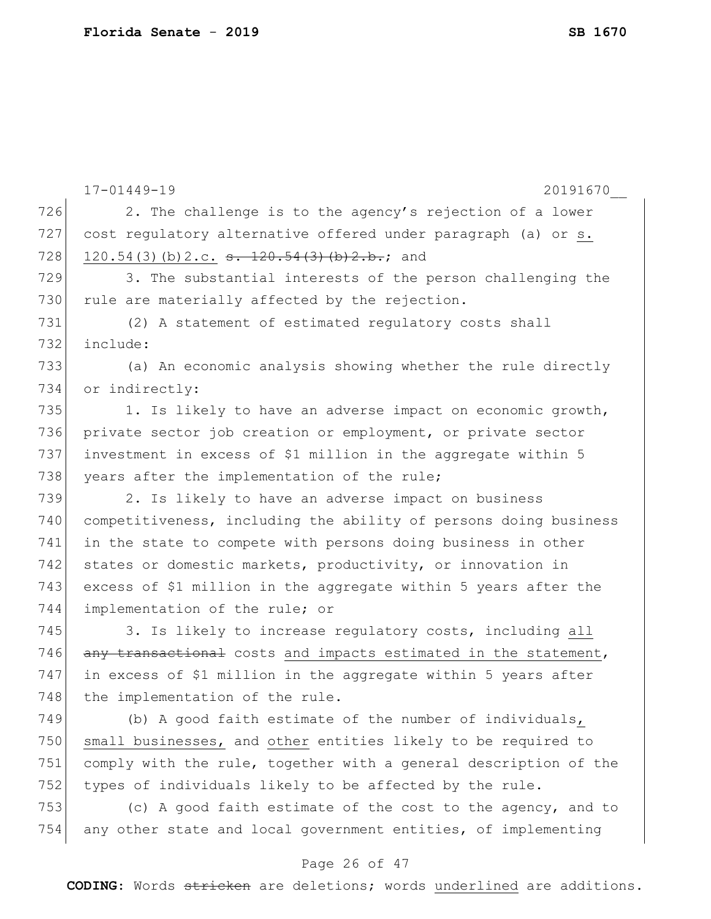|     | 17-01449-19<br>20191670                                          |
|-----|------------------------------------------------------------------|
| 726 | 2. The challenge is to the agency's rejection of a lower         |
| 727 | cost regulatory alternative offered under paragraph (a) or s.    |
| 728 | 120.54(3)(b)2.c. <del>s. 120.54(3)(b)2.b.</del> ; and            |
| 729 | 3. The substantial interests of the person challenging the       |
| 730 | rule are materially affected by the rejection.                   |
| 731 | (2) A statement of estimated regulatory costs shall              |
| 732 | include:                                                         |
| 733 | (a) An economic analysis showing whether the rule directly       |
| 734 | or indirectly:                                                   |
| 735 | 1. Is likely to have an adverse impact on economic growth,       |
| 736 | private sector job creation or employment, or private sector     |
| 737 | investment in excess of \$1 million in the aggregate within 5    |
| 738 | years after the implementation of the rule;                      |
| 739 | 2. Is likely to have an adverse impact on business               |
| 740 | competitiveness, including the ability of persons doing business |
| 741 | in the state to compete with persons doing business in other     |
| 742 | states or domestic markets, productivity, or innovation in       |
| 743 | excess of \$1 million in the aggregate within 5 years after the  |
| 744 | implementation of the rule; or                                   |
| 745 | 3. Is likely to increase regulatory costs, including all         |
| 746 | any transactional costs and impacts estimated in the statement,  |
| 747 | in excess of \$1 million in the aggregate within 5 years after   |
| 748 | the implementation of the rule.                                  |
| 749 | (b) A good faith estimate of the number of individuals,          |
| 750 | small businesses, and other entities likely to be required to    |
| 751 | comply with the rule, together with a general description of the |
| 752 | types of individuals likely to be affected by the rule.          |
| 753 | (c) A good faith estimate of the cost to the agency, and to      |
| 754 | any other state and local government entities, of implementing   |
|     | Page 26 of 47                                                    |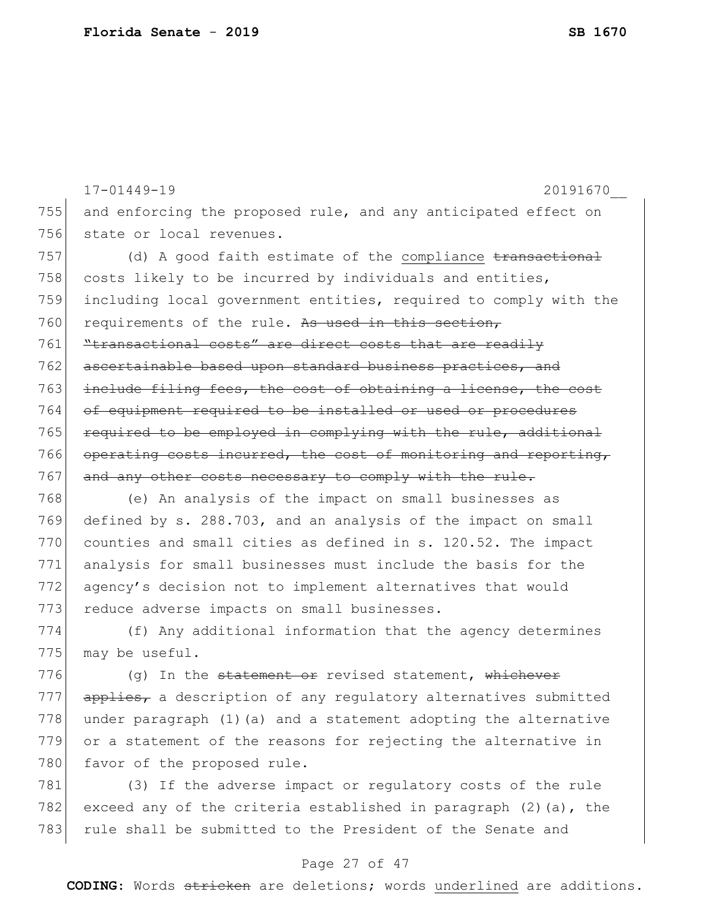17-01449-19 20191670\_\_ 755 and enforcing the proposed rule, and any anticipated effect on 756 state or local revenues.  $757$  (d) A good faith estimate of the compliance  $t$  ransactional 758 costs likely to be incurred by individuals and entities, 759 including local government entities, required to comply with the 760 requirements of the rule. As used in this section, 761 **"transactional costs"** are direct costs that are readily 762 ascertainable based upon standard business practices, and 763 include filing fees, the cost of obtaining a license, the cost 764 of equipment required to be installed or used or procedures 765 required to be employed in complying with the rule, additional 766 operating costs incurred, the cost of monitoring and reporting, 767 and any other costs necessary to comply with the rule. 768 (e) An analysis of the impact on small businesses as 769 defined by s. 288.703, and an analysis of the impact on small 770 counties and small cities as defined in s. 120.52. The impact 771 analysis for small businesses must include the basis for the 772 agency's decision not to implement alternatives that would 773 reduce adverse impacts on small businesses. 774 (f) Any additional information that the agency determines 775 may be useful. 776 (g) In the <del>statement or</del> revised statement, whichever

 $777$  applies, a description of any regulatory alternatives submitted 778 under paragraph  $(1)$  (a) and a statement adopting the alternative 779 or a statement of the reasons for rejecting the alternative in 780 favor of the proposed rule.

781 (3) If the adverse impact or regulatory costs of the rule 782 exceed any of the criteria established in paragraph  $(2)$  (a), the 783 rule shall be submitted to the President of the Senate and

## Page 27 of 47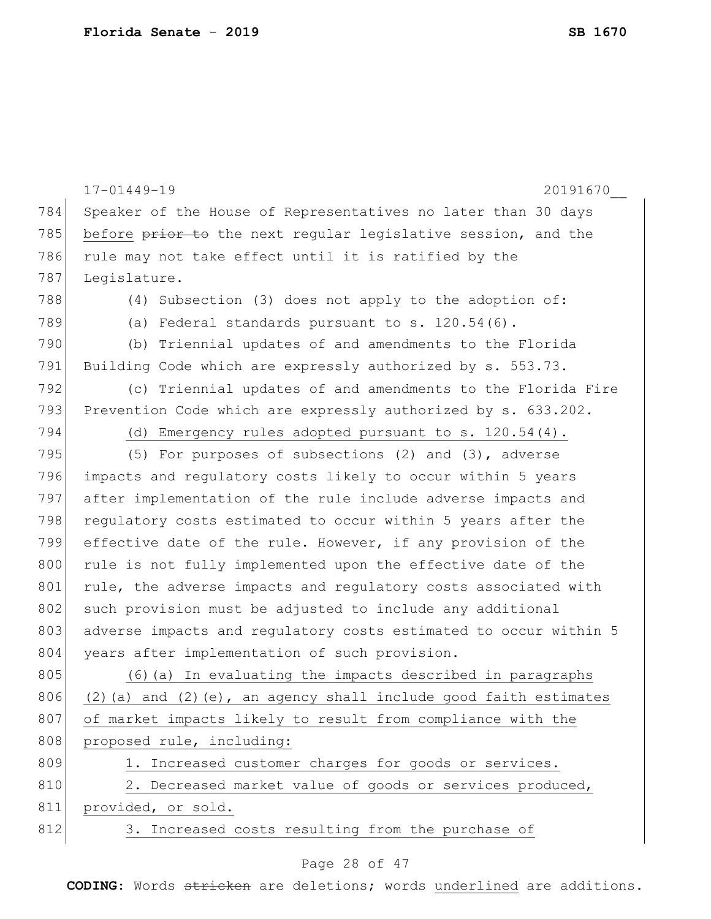|     | $17 - 01449 - 19$<br>20191670                                         |
|-----|-----------------------------------------------------------------------|
| 784 | Speaker of the House of Representatives no later than 30 days         |
| 785 | before prior to the next regular legislative session, and the         |
| 786 | rule may not take effect until it is ratified by the                  |
| 787 | Legislature.                                                          |
| 788 | (4) Subsection (3) does not apply to the adoption of:                 |
| 789 | (a) Federal standards pursuant to s. 120.54(6).                       |
| 790 | (b) Triennial updates of and amendments to the Florida                |
| 791 | Building Code which are expressly authorized by s. 553.73.            |
| 792 | (c) Triennial updates of and amendments to the Florida Fire           |
| 793 | Prevention Code which are expressly authorized by s. 633.202.         |
| 794 | (d) Emergency rules adopted pursuant to s. 120.54(4).                 |
| 795 | (5) For purposes of subsections $(2)$ and $(3)$ , adverse             |
| 796 | impacts and regulatory costs likely to occur within 5 years           |
| 797 | after implementation of the rule include adverse impacts and          |
| 798 | regulatory costs estimated to occur within 5 years after the          |
| 799 | effective date of the rule. However, if any provision of the          |
| 800 | rule is not fully implemented upon the effective date of the          |
| 801 | rule, the adverse impacts and regulatory costs associated with        |
| 802 | such provision must be adjusted to include any additional             |
| 803 | adverse impacts and regulatory costs estimated to occur within 5      |
| 804 | years after implementation of such provision.                         |
| 805 | (6) (a) In evaluating the impacts described in paragraphs             |
| 806 | $(2)$ (a) and $(2)$ (e), an agency shall include good faith estimates |
| 807 | of market impacts likely to result from compliance with the           |
| 808 | proposed rule, including:                                             |
| 809 | 1. Increased customer charges for goods or services.                  |
| 810 | 2. Decreased market value of goods or services produced,              |
| 811 | provided, or sold.                                                    |
| 812 | 3. Increased costs resulting from the purchase of                     |
|     |                                                                       |

Page 28 of 47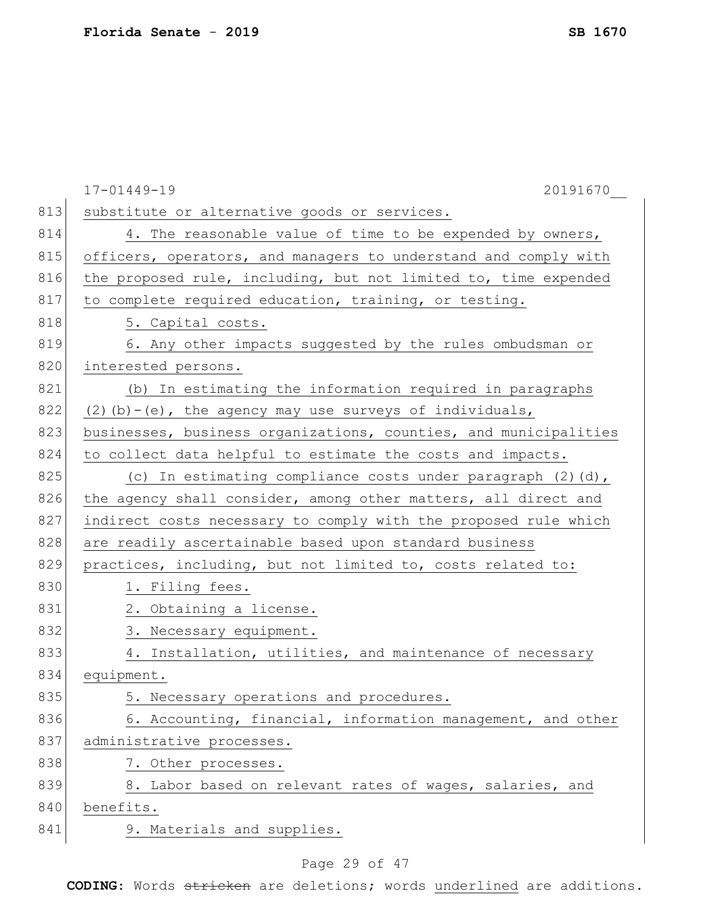|     | $17 - 01449 - 19$<br>20191670                                    |
|-----|------------------------------------------------------------------|
| 813 | substitute or alternative goods or services.                     |
| 814 | 4. The reasonable value of time to be expended by owners,        |
| 815 | officers, operators, and managers to understand and comply with  |
| 816 | the proposed rule, including, but not limited to, time expended  |
| 817 | to complete required education, training, or testing.            |
| 818 | 5. Capital costs.                                                |
| 819 | 6. Any other impacts suggested by the rules ombudsman or         |
| 820 | interested persons.                                              |
| 821 | (b) In estimating the information required in paragraphs         |
| 822 | $(2)$ (b) - (e), the agency may use surveys of individuals,      |
| 823 | businesses, business organizations, counties, and municipalities |
| 824 | to collect data helpful to estimate the costs and impacts.       |
| 825 | (c) In estimating compliance costs under paragraph $(2)$ $(d)$ , |
| 826 | the agency shall consider, among other matters, all direct and   |
| 827 | indirect costs necessary to comply with the proposed rule which  |
| 828 | are readily ascertainable based upon standard business           |
| 829 | practices, including, but not limited to, costs related to:      |
| 830 | 1. Filing fees.                                                  |
| 831 | 2. Obtaining a license.                                          |
| 832 | 3. Necessary equipment.                                          |
| 833 | 4. Installation, utilities, and maintenance of necessary         |
| 834 | equipment.                                                       |
| 835 | 5. Necessary operations and procedures.                          |
| 836 | 6. Accounting, financial, information management, and other      |
| 837 | administrative processes.                                        |
| 838 | 7. Other processes.                                              |
| 839 | 8. Labor based on relevant rates of wages, salaries, and         |
| 840 | benefits.                                                        |
| 841 | 9. Materials and supplies.                                       |
|     |                                                                  |

## Page 29 of 47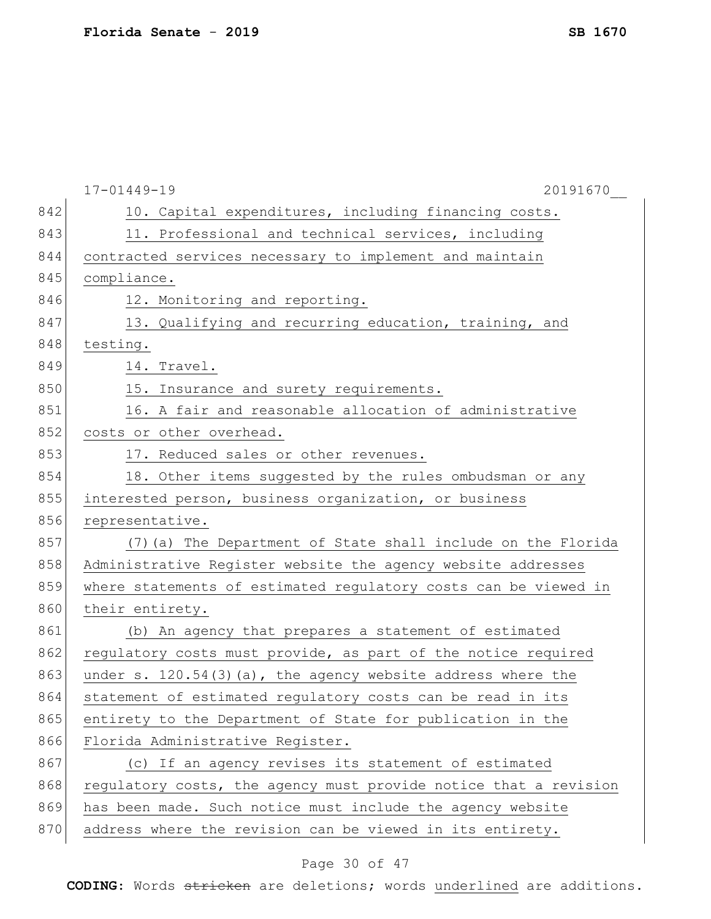|     | $17 - 01449 - 19$<br>20191670                                    |
|-----|------------------------------------------------------------------|
| 842 | 10. Capital expenditures, including financing costs.             |
| 843 | 11. Professional and technical services, including               |
| 844 | contracted services necessary to implement and maintain          |
| 845 | compliance.                                                      |
| 846 | 12. Monitoring and reporting.                                    |
| 847 | 13. Qualifying and recurring education, training, and            |
| 848 | testing.                                                         |
| 849 | 14. Travel.                                                      |
| 850 | 15. Insurance and surety requirements.                           |
| 851 | 16. A fair and reasonable allocation of administrative           |
| 852 | costs or other overhead.                                         |
| 853 | 17. Reduced sales or other revenues.                             |
| 854 | 18. Other items suggested by the rules ombudsman or any          |
| 855 | interested person, business organization, or business            |
| 856 | representative.                                                  |
| 857 | (7) (a) The Department of State shall include on the Florida     |
| 858 | Administrative Register website the agency website addresses     |
| 859 | where statements of estimated regulatory costs can be viewed in  |
| 860 | their entirety.                                                  |
| 861 | (b) An agency that prepares a statement of estimated             |
| 862 | regulatory costs must provide, as part of the notice required    |
| 863 | under s. 120.54(3)(a), the agency website address where the      |
| 864 | statement of estimated regulatory costs can be read in its       |
| 865 | entirety to the Department of State for publication in the       |
| 866 | Florida Administrative Register.                                 |
| 867 | (c) If an agency revises its statement of estimated              |
| 868 | requlatory costs, the agency must provide notice that a revision |
| 869 | has been made. Such notice must include the agency website       |
| 870 | address where the revision can be viewed in its entirety.        |

# Page 30 of 47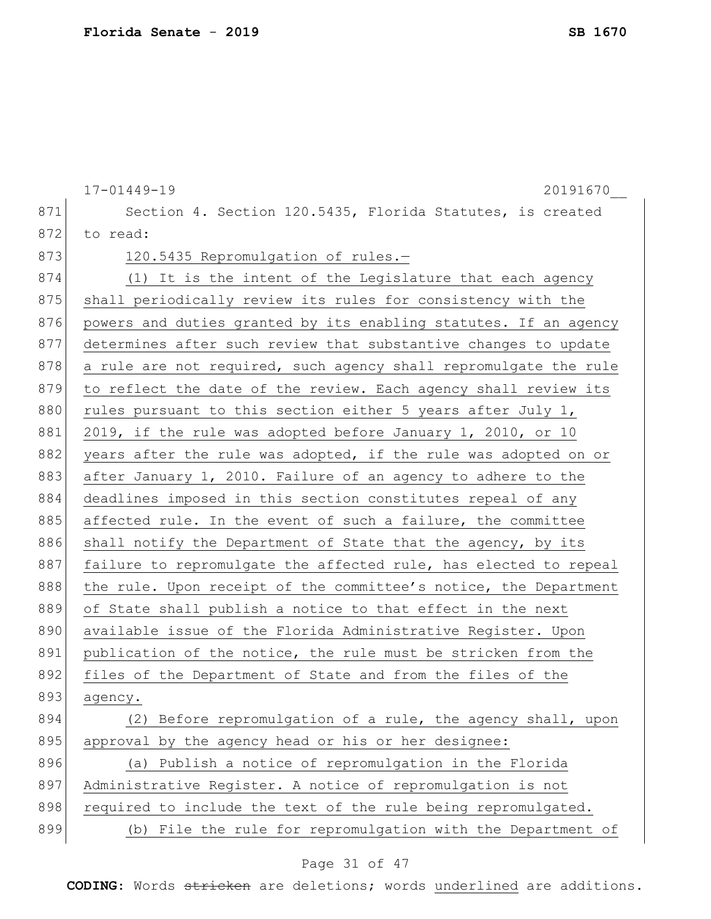|     | $17 - 01449 - 19$<br>20191670                                    |
|-----|------------------------------------------------------------------|
| 871 | Section 4. Section 120.5435, Florida Statutes, is created        |
| 872 | to read:                                                         |
| 873 | 120.5435 Repromulgation of rules.-                               |
| 874 | (1) It is the intent of the Legislature that each agency         |
| 875 | shall periodically review its rules for consistency with the     |
| 876 | powers and duties granted by its enabling statutes. If an agency |
| 877 | determines after such review that substantive changes to update  |
| 878 | a rule are not required, such agency shall repromulgate the rule |
| 879 | to reflect the date of the review. Each agency shall review its  |
| 880 | rules pursuant to this section either 5 years after July 1,      |
| 881 | 2019, if the rule was adopted before January 1, 2010, or 10      |
| 882 | years after the rule was adopted, if the rule was adopted on or  |
| 883 | after January 1, 2010. Failure of an agency to adhere to the     |
| 884 | deadlines imposed in this section constitutes repeal of any      |
| 885 | affected rule. In the event of such a failure, the committee     |
| 886 | shall notify the Department of State that the agency, by its     |
| 887 | failure to repromulgate the affected rule, has elected to repeal |
| 888 | the rule. Upon receipt of the committee's notice, the Department |
| 889 | of State shall publish a notice to that effect in the next       |
| 890 | available issue of the Florida Administrative Register. Upon     |
| 891 | publication of the notice, the rule must be stricken from the    |
| 892 | files of the Department of State and from the files of the       |
| 893 | agency.                                                          |
| 894 | (2) Before repromulgation of a rule, the agency shall, upon      |
| 895 | approval by the agency head or his or her designee:              |
| 896 | (a) Publish a notice of repromulgation in the Florida            |
| 897 | Administrative Register. A notice of repromulgation is not       |
| 898 | required to include the text of the rule being repromulgated.    |
| 899 | (b) File the rule for repromulgation with the Department of      |
|     |                                                                  |

# Page 31 of 47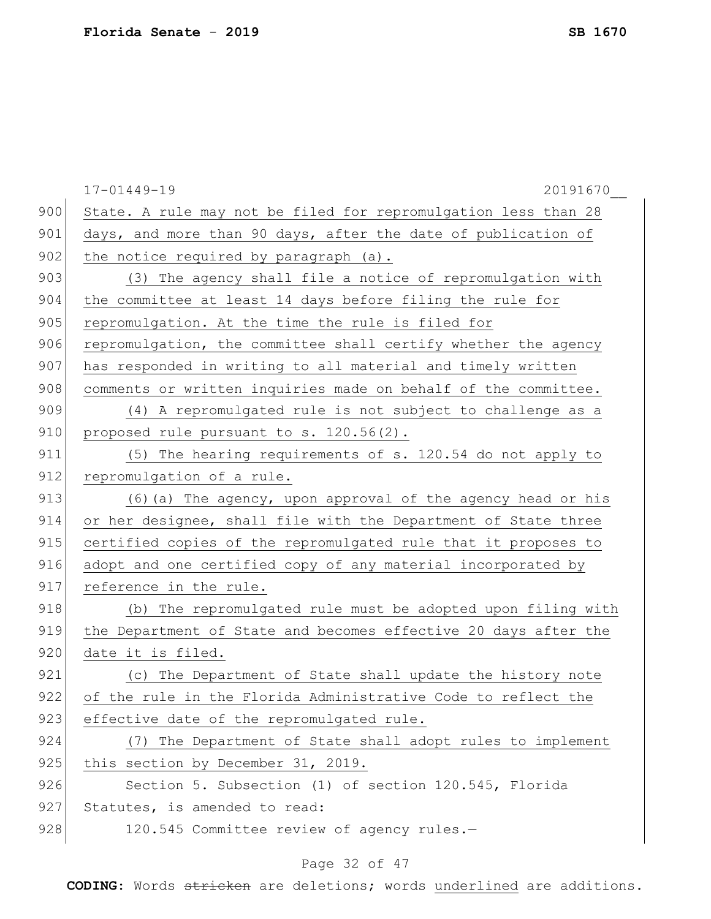|     | $17 - 01449 - 19$<br>20191670                                   |
|-----|-----------------------------------------------------------------|
| 900 | State. A rule may not be filed for repromulgation less than 28  |
| 901 | days, and more than 90 days, after the date of publication of   |
| 902 | the notice required by paragraph (a).                           |
| 903 | (3) The agency shall file a notice of repromulgation with       |
| 904 | the committee at least 14 days before filing the rule for       |
| 905 | repromulgation. At the time the rule is filed for               |
| 906 | repromulgation, the committee shall certify whether the agency  |
| 907 | has responded in writing to all material and timely written     |
| 908 | comments or written inquiries made on behalf of the committee.  |
| 909 | (4) A repromulgated rule is not subject to challenge as a       |
| 910 | proposed rule pursuant to s. 120.56(2).                         |
| 911 | (5) The hearing requirements of s. 120.54 do not apply to       |
| 912 | repromulgation of a rule.                                       |
| 913 | (6) (a) The agency, upon approval of the agency head or his     |
| 914 | or her designee, shall file with the Department of State three  |
| 915 | certified copies of the repromulgated rule that it proposes to  |
| 916 | adopt and one certified copy of any material incorporated by    |
| 917 | reference in the rule.                                          |
| 918 | (b) The repromulgated rule must be adopted upon filing with     |
| 919 | the Department of State and becomes effective 20 days after the |
| 920 | date it is filed.                                               |
| 921 | (c) The Department of State shall update the history note       |
| 922 | of the rule in the Florida Administrative Code to reflect the   |
| 923 | effective date of the repromulgated rule.                       |
| 924 | (7) The Department of State shall adopt rules to implement      |
| 925 | this section by December 31, 2019.                              |
| 926 | Section 5. Subsection (1) of section 120.545, Florida           |
| 927 | Statutes, is amended to read:                                   |
| 928 | 120.545 Committee review of agency rules.-                      |
|     |                                                                 |

# Page 32 of 47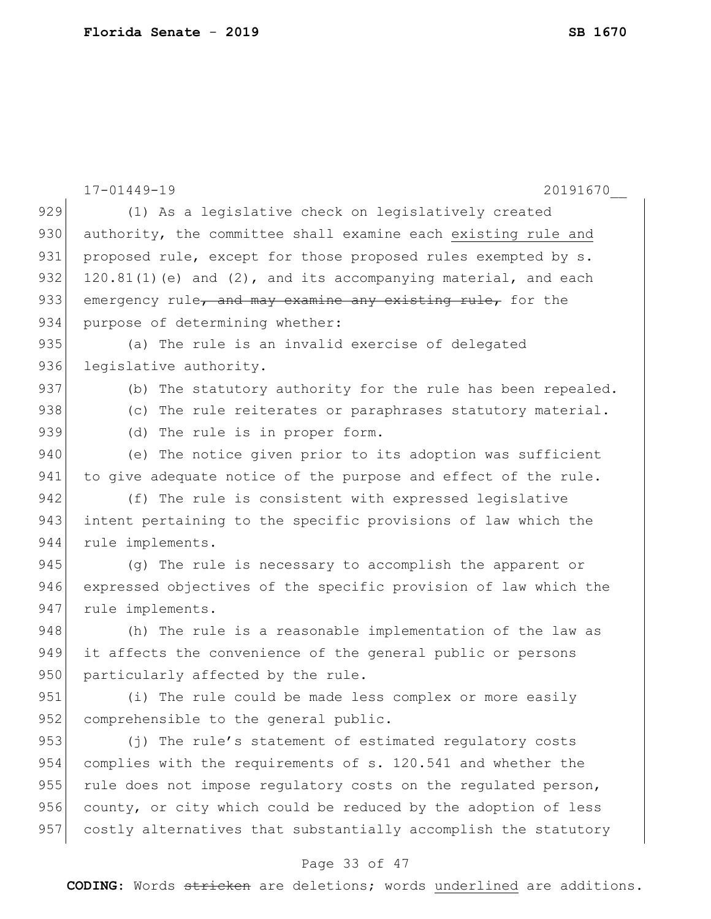|     | $17 - 01449 - 19$<br>20191670                                       |
|-----|---------------------------------------------------------------------|
| 929 | (1) As a legislative check on legislatively created                 |
| 930 | authority, the committee shall examine each existing rule and       |
| 931 | proposed rule, except for those proposed rules exempted by s.       |
| 932 | $120.81(1)$ (e) and $(2)$ , and its accompanying material, and each |
| 933 | emergency rule, and may examine any existing rule, for the          |
| 934 | purpose of determining whether:                                     |
| 935 | (a) The rule is an invalid exercise of delegated                    |
| 936 | legislative authority.                                              |
| 937 | (b) The statutory authority for the rule has been repealed.         |
| 938 | (c) The rule reiterates or paraphrases statutory material.          |
| 939 | (d) The rule is in proper form.                                     |
| 940 | (e) The notice given prior to its adoption was sufficient           |
| 941 | to give adequate notice of the purpose and effect of the rule.      |
| 942 | (f) The rule is consistent with expressed legislative               |
| 943 | intent pertaining to the specific provisions of law which the       |
| 944 | rule implements.                                                    |
| 945 | (q) The rule is necessary to accomplish the apparent or             |
| 946 | expressed objectives of the specific provision of law which the     |
| 947 | rule implements.                                                    |
| 948 | (h) The rule is a reasonable implementation of the law as           |
| 949 | it affects the convenience of the general public or persons         |
| 950 | particularly affected by the rule.                                  |
| 951 | (i) The rule could be made less complex or more easily              |
| 952 | comprehensible to the general public.                               |
| 953 | (j) The rule's statement of estimated regulatory costs              |
| 954 | complies with the requirements of s. 120.541 and whether the        |
| 955 | rule does not impose regulatory costs on the regulated person,      |
| 956 | county, or city which could be reduced by the adoption of less      |
| 957 | costly alternatives that substantially accomplish the statutory     |
|     | Page 33 of 47                                                       |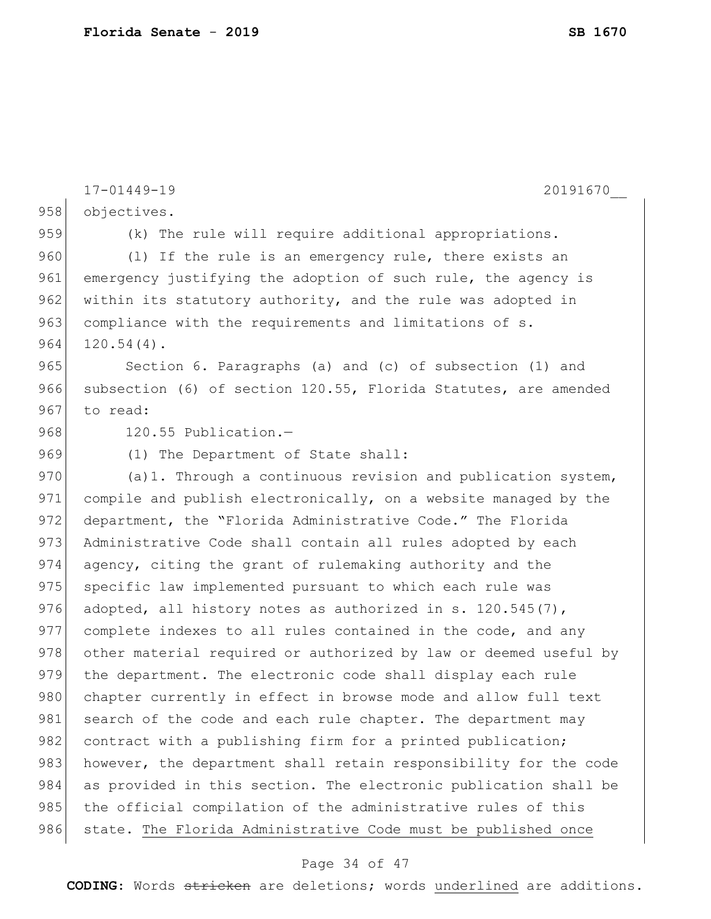```
17-01449-19 20191670__
958 objectives.
959 (k) The rule will require additional appropriations.
960 (1) If the rule is an emergency rule, there exists an
961 emergency justifying the adoption of such rule, the agency is
962 within its statutory authority, and the rule was adopted in
963 compliance with the requirements and limitations of s.
964 \mid 120.54(4).
965 Section 6. Paragraphs (a) and (c) of subsection (1) and
966 subsection (6) of section 120.55, Florida Statutes, are amended
967 to read:
968 120.55 Publication.-
969 (1) The Department of State shall:
970 (a)1. Through a continuous revision and publication system,
971 compile and publish electronically, on a website managed by the
972 department, the "Florida Administrative Code." The Florida
973 Administrative Code shall contain all rules adopted by each
974 agency, citing the grant of rulemaking authority and the
975 specific law implemented pursuant to which each rule was
976 adopted, all history notes as authorized in s. 120.545(7),
977 complete indexes to all rules contained in the code, and any
978 other material required or authorized by law or deemed useful by
979 the department. The electronic code shall display each rule 
980 chapter currently in effect in browse mode and allow full text
981 search of the code and each rule chapter. The department may
982 contract with a publishing firm for a printed publication;
983 however, the department shall retain responsibility for the code
984 as provided in this section. The electronic publication shall be
985 the official compilation of the administrative rules of this
986 state. The Florida Administrative Code must be published once
```
### Page 34 of 47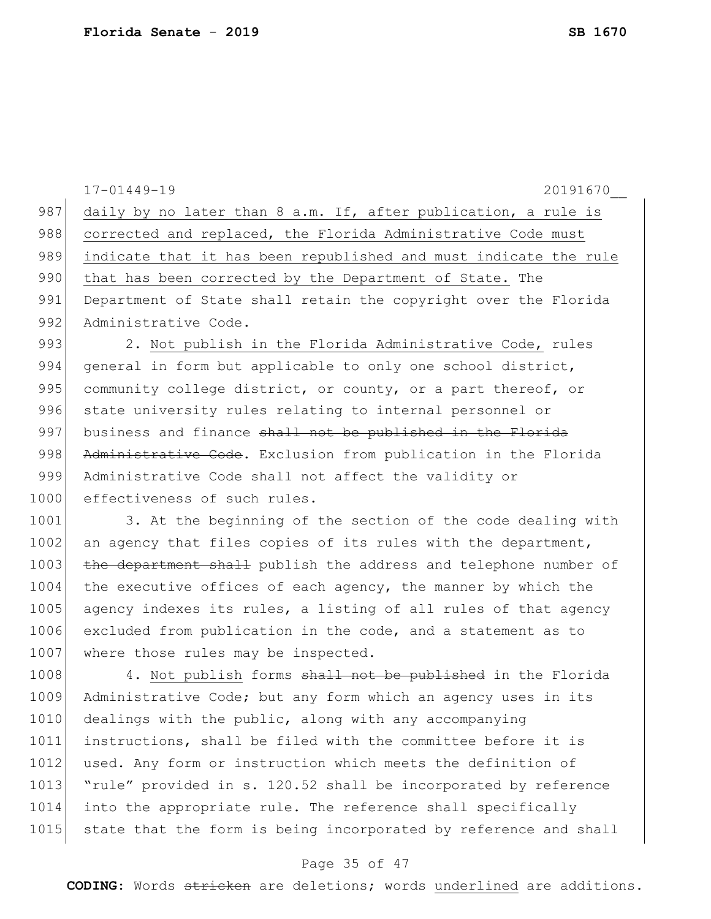17-01449-19 20191670\_\_ 987 daily by no later than 8 a.m. If, after publication, a rule is 988 corrected and replaced, the Florida Administrative Code must 989 indicate that it has been republished and must indicate the rule 990 that has been corrected by the Department of State. The 991 Department of State shall retain the copyright over the Florida 992 Administrative Code. 993 2. Not publish in the Florida Administrative Code, rules 994 general in form but applicable to only one school district, 995 community college district, or county, or a part thereof, or 996 state university rules relating to internal personnel or  $997$  business and finance shall not be published in the Florida 998 Administrative Code. Exclusion from publication in the Florida 999 Administrative Code shall not affect the validity or 1000 effectiveness of such rules. 1001 3. At the beginning of the section of the code dealing with 1002 an agency that files copies of its rules with the department, 1003 the department shall publish the address and telephone number of 1004 the executive offices of each agency, the manner by which the 1005 agency indexes its rules, a listing of all rules of that agency 1006 excluded from publication in the code, and a statement as to 1007 where those rules may be inspected. 1008 4. Not publish forms shall not be published in the Florida 1009 Administrative Code; but any form which an agency uses in its 1010 dealings with the public, along with any accompanying 1011 instructions, shall be filed with the committee before it is 1012 used. Any form or instruction which meets the definition of 1013 "rule" provided in s. 120.52 shall be incorporated by reference 1014 into the appropriate rule. The reference shall specifically 1015 state that the form is being incorporated by reference and shall

### Page 35 of 47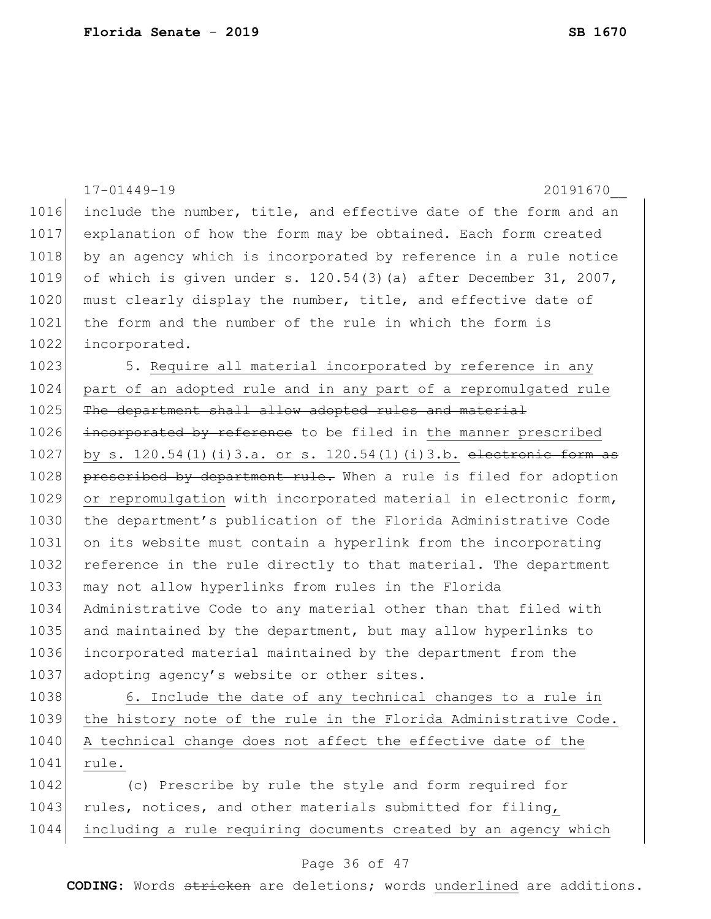|      | $17 - 01449 - 19$<br>20191670                                      |
|------|--------------------------------------------------------------------|
| 1016 | include the number, title, and effective date of the form and an   |
| 1017 | explanation of how the form may be obtained. Each form created     |
| 1018 | by an agency which is incorporated by reference in a rule notice   |
| 1019 | of which is given under s. $120.54(3)(a)$ after December 31, 2007, |
| 1020 | must clearly display the number, title, and effective date of      |
| 1021 | the form and the number of the rule in which the form is           |
| 1022 | incorporated.                                                      |
| 1023 | 5. Require all material incorporated by reference in any           |
| 1024 | part of an adopted rule and in any part of a repromulgated rule    |
| 1025 | The department shall allow adopted rules and material              |
| 1026 | incorporated by reference to be filed in the manner prescribed     |
| 1027 | by s. 120.54(1)(i)3.a. or s. 120.54(1)(i)3.b. electronic form as   |
| 1028 | prescribed by department rule. When a rule is filed for adoption   |
| 1029 | or repromulgation with incorporated material in electronic form,   |
| 1030 | the department's publication of the Florida Administrative Code    |
| 1031 | on its website must contain a hyperlink from the incorporating     |
| 1032 | reference in the rule directly to that material. The department    |
| 1033 | may not allow hyperlinks from rules in the Florida                 |
| 1034 | Administrative Code to any material other than that filed with     |
| 1035 | and maintained by the department, but may allow hyperlinks to      |
| 1036 | incorporated material maintained by the department from the        |
| 1037 | adopting agency's website or other sites.                          |
| 1038 | 6. Include the date of any technical changes to a rule in          |
| 1039 | the history note of the rule in the Florida Administrative Code.   |
| 1040 | A technical change does not affect the effective date of the       |
| 1041 | rule.                                                              |
| 1042 | (c) Prescribe by rule the style and form required for              |
| 1043 | rules, notices, and other materials submitted for filing,          |

# Page 36 of 47

1044 including a rule requiring documents created by an agency which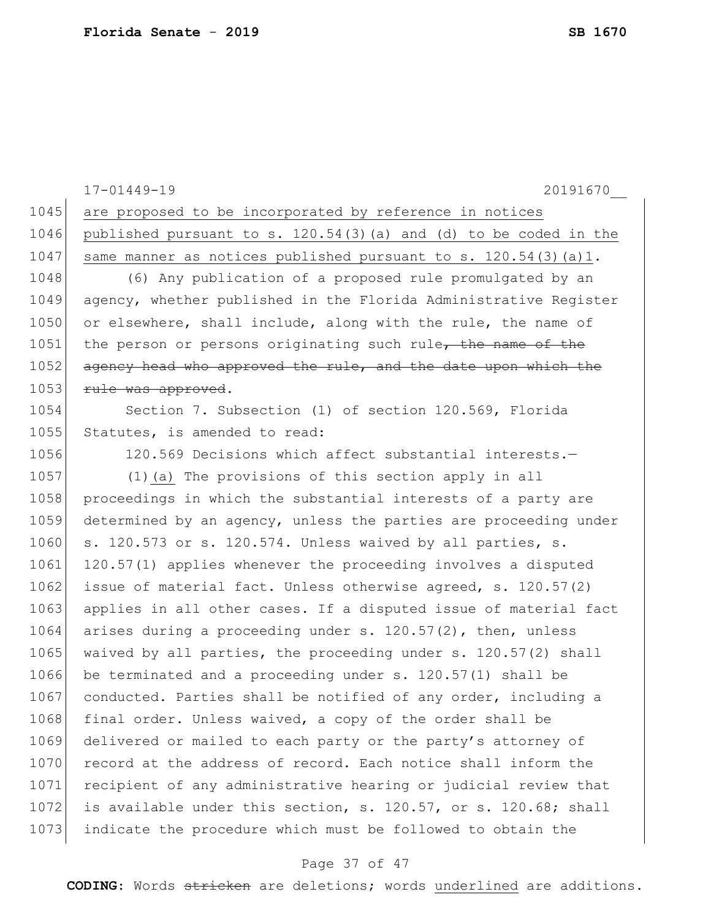17-01449-19 20191670\_\_ 1045 are proposed to be incorporated by reference in notices 1046 published pursuant to s.  $120.54(3)(a)$  and (d) to be coded in the 1047 same manner as notices published pursuant to s.  $120.54(3)(a)1$ . 1048 (6) Any publication of a proposed rule promulgated by an 1049 agency, whether published in the Florida Administrative Register 1050 or elsewhere, shall include, along with the rule, the name of 1051 the person or persons originating such rule, the name of the 1052 agency head who approved the rule, and the date upon which the 1053 rule was approved. 1054 Section 7. Subsection (1) of section 120.569, Florida 1055 Statutes, is amended to read: 1056 120.569 Decisions which affect substantial interests. 1057 (1)(a) The provisions of this section apply in all 1058 proceedings in which the substantial interests of a party are 1059 determined by an agency, unless the parties are proceeding under  $1060$  s. 120.573 or s. 120.574. Unless waived by all parties, s. 1061 120.57(1) applies whenever the proceeding involves a disputed 1062 issue of material fact. Unless otherwise agreed, s. 120.57(2) 1063 applies in all other cases. If a disputed issue of material fact 1064 arises during a proceeding under s.  $120.57(2)$ , then, unless 1065 waived by all parties, the proceeding under  $s. 120.57(2)$  shall 1066 be terminated and a proceeding under s. 120.57(1) shall be 1067 conducted. Parties shall be notified of any order, including a 1068 final order. Unless waived, a copy of the order shall be 1069 delivered or mailed to each party or the party's attorney of 1070 record at the address of record. Each notice shall inform the 1071 recipient of any administrative hearing or judicial review that 1072 is available under this section, s. 120.57, or s. 120.68; shall 1073 indicate the procedure which must be followed to obtain the

### Page 37 of 47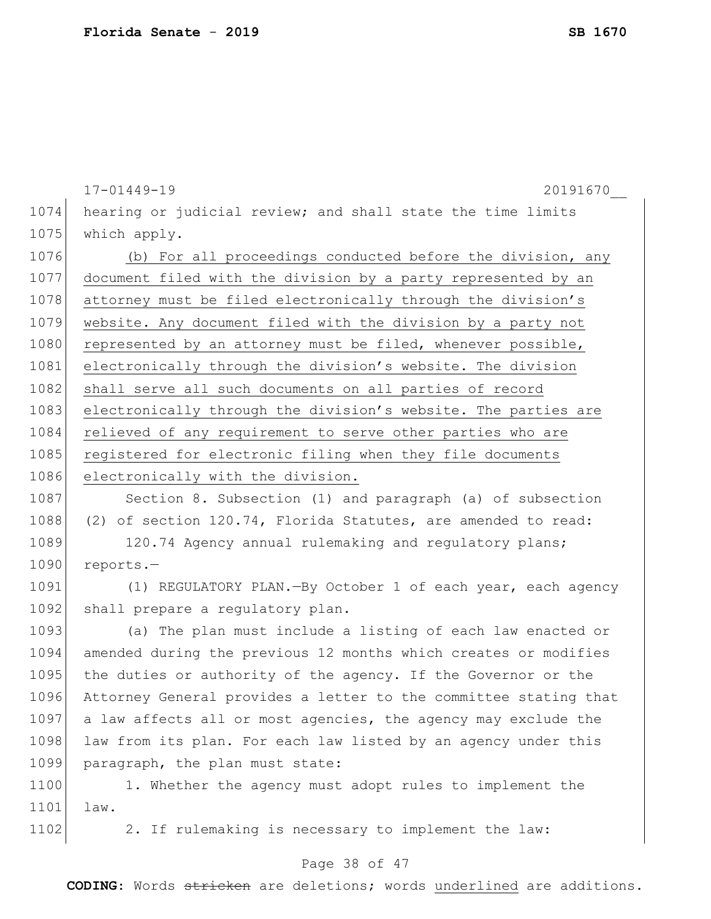17-01449-19 20191670\_\_ 1074 hearing or judicial review; and shall state the time limits 1075 which apply. 1076 (b) For all proceedings conducted before the division, any 1077 document filed with the division by a party represented by an 1078 attorney must be filed electronically through the division's 1079 website. Any document filed with the division by a party not 1080 represented by an attorney must be filed, whenever possible, 1081 electronically through the division's website. The division 1082 shall serve all such documents on all parties of record 1083 electronically through the division's website. The parties are 1084 relieved of any requirement to serve other parties who are 1085 registered for electronic filing when they file documents 1086 electronically with the division. 1087 Section 8. Subsection (1) and paragraph (a) of subsection 1088 (2) of section 120.74, Florida Statutes, are amended to read:

1089 120.74 Agency annual rulemaking and regulatory plans; 1090 reports.-

1091 (1) REGULATORY PLAN.—By October 1 of each year, each agency 1092 shall prepare a regulatory plan.

1093 (a) The plan must include a listing of each law enacted or 1094 amended during the previous 12 months which creates or modifies 1095 the duties or authority of the agency. If the Governor or the 1096 Attorney General provides a letter to the committee stating that 1097 a law affects all or most agencies, the agency may exclude the 1098 law from its plan. For each law listed by an agency under this 1099 paragraph, the plan must state:

1100 1. Whether the agency must adopt rules to implement the 1101 law.

1102 2. If rulemaking is necessary to implement the law:

## Page 38 of 47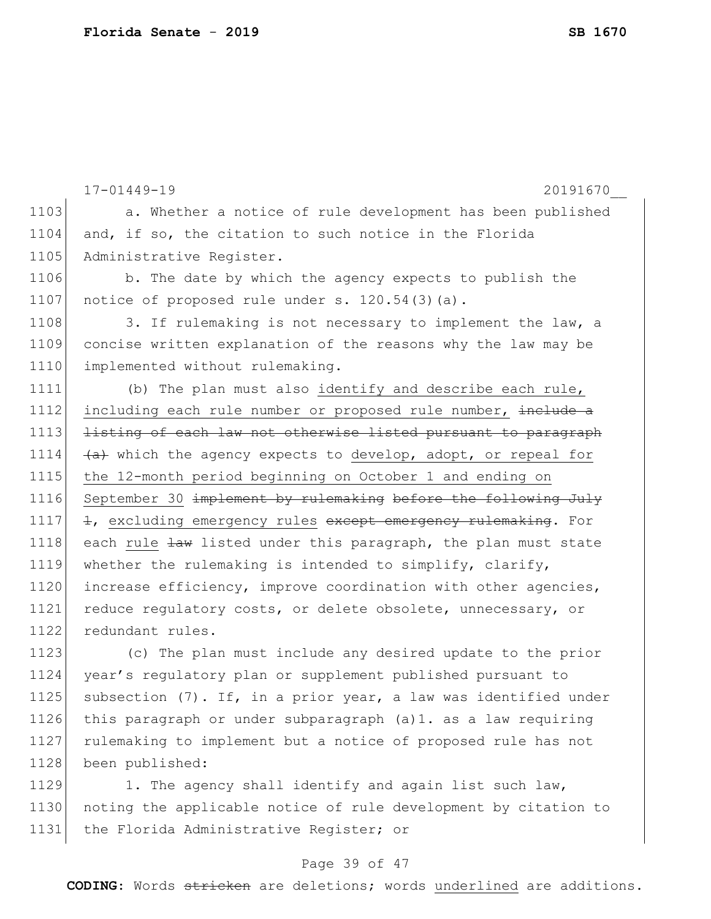|      | $17 - 01449 - 19$<br>20191670                                   |
|------|-----------------------------------------------------------------|
| 1103 | a. Whether a notice of rule development has been published      |
| 1104 | and, if so, the citation to such notice in the Florida          |
| 1105 | Administrative Register.                                        |
| 1106 | b. The date by which the agency expects to publish the          |
| 1107 | notice of proposed rule under s. 120.54(3)(a).                  |
| 1108 | 3. If rulemaking is not necessary to implement the law, a       |
| 1109 | concise written explanation of the reasons why the law may be   |
| 1110 | implemented without rulemaking.                                 |
| 1111 | (b) The plan must also identify and describe each rule,         |
| 1112 | including each rule number or proposed rule number, include a   |
| 1113 | listing of each law not otherwise listed pursuant to paragraph  |
| 1114 | (a) which the agency expects to develop, adopt, or repeal for   |
| 1115 | the 12-month period beginning on October 1 and ending on        |
| 1116 | September 30 implement by rulemaking before the following July  |
| 1117 | +, excluding emergency rules except emergency rulemaking. For   |
| 1118 | each rule law listed under this paragraph, the plan must state  |
| 1119 | whether the rulemaking is intended to simplify, clarify,        |
| 1120 | increase efficiency, improve coordination with other agencies,  |
| 1121 | reduce regulatory costs, or delete obsolete, unnecessary, or    |
| 1122 | redundant rules.                                                |
| 1123 | (c) The plan must include any desired update to the prior       |
| 1124 | year's regulatory plan or supplement published pursuant to      |
| 1125 | subsection (7). If, in a prior year, a law was identified under |
| 1126 | this paragraph or under subparagraph (a)1. as a law requiring   |
| 1127 | rulemaking to implement but a notice of proposed rule has not   |
| 1128 | been published:                                                 |

1129 1. The agency shall identify and again list such law, 1130 noting the applicable notice of rule development by citation to 1131 the Florida Administrative Register; or

## Page 39 of 47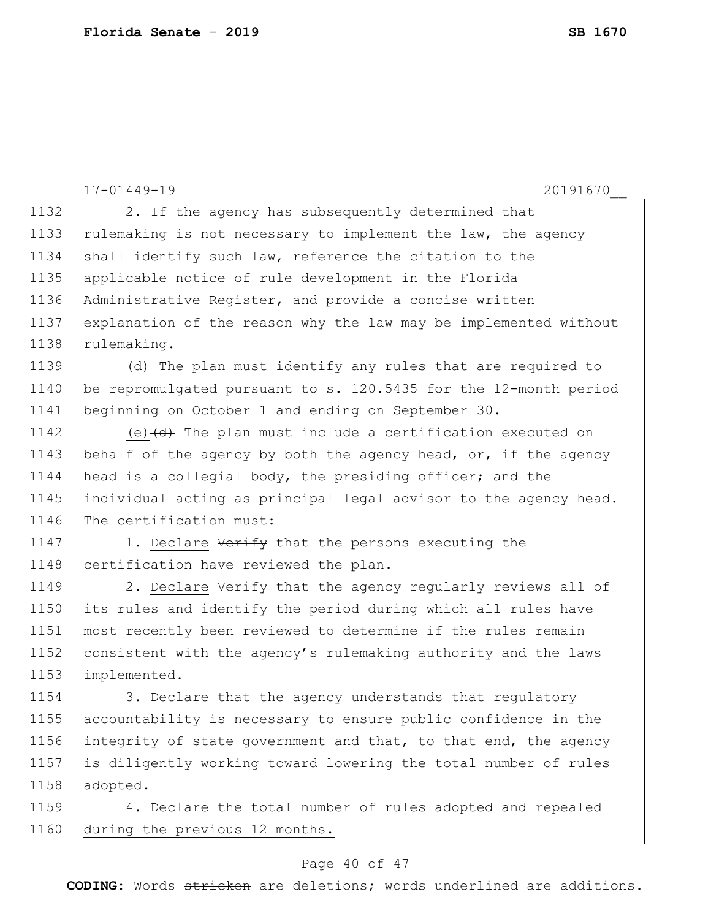|      | $17 - 01449 - 19$<br>20191670                                                     |
|------|-----------------------------------------------------------------------------------|
| 1132 | 2. If the agency has subsequently determined that                                 |
| 1133 | rulemaking is not necessary to implement the law, the agency                      |
| 1134 | shall identify such law, reference the citation to the                            |
| 1135 | applicable notice of rule development in the Florida                              |
| 1136 | Administrative Register, and provide a concise written                            |
| 1137 | explanation of the reason why the law may be implemented without                  |
| 1138 | rulemaking.                                                                       |
| 1139 | (d) The plan must identify any rules that are required to                         |
| 1140 | be repromulgated pursuant to s. 120.5435 for the 12-month period                  |
| 1141 | beginning on October 1 and ending on September 30.                                |
| 1142 | (e) $\left(\frac{d}{dt}\right)$ The plan must include a certification executed on |
| 1143 | behalf of the agency by both the agency head, or, if the agency                   |
| 1144 | head is a collegial body, the presiding officer; and the                          |
| 1145 | individual acting as principal legal advisor to the agency head.                  |
| 1146 | The certification must:                                                           |
| 1147 | 1. Declare Verify that the persons executing the                                  |
| 1148 | certification have reviewed the plan.                                             |
| 1149 | 2. Declare Verify that the agency regularly reviews all of                        |
| 1150 | its rules and identify the period during which all rules have                     |
| 1151 | most recently been reviewed to determine if the rules remain                      |
| 1152 | consistent with the agency's rulemaking authority and the laws                    |
| 1153 | implemented.                                                                      |
| 1154 | 3. Declare that the agency understands that regulatory                            |
| 1155 | accountability is necessary to ensure public confidence in the                    |
| 1156 | integrity of state government and that, to that end, the agency                   |
| 1157 | is diligently working toward lowering the total number of rules                   |
| 1158 | adopted.                                                                          |
| 1159 | 4. Declare the total number of rules adopted and repealed                         |
| 1160 | during the previous 12 months.                                                    |

# Page 40 of 47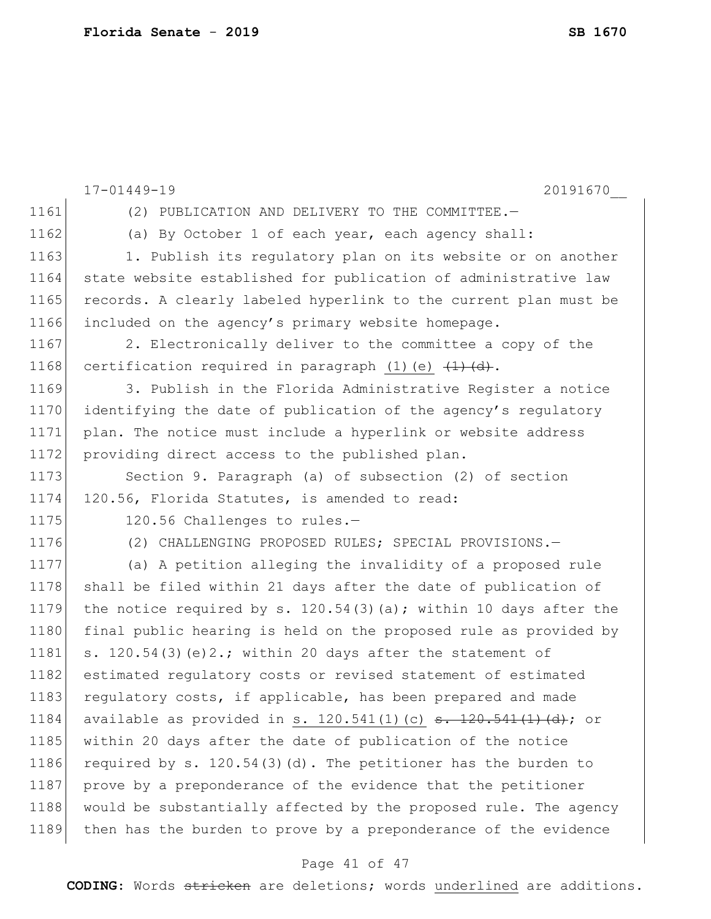17-01449-19 20191670\_\_ 1161 (2) PUBLICATION AND DELIVERY TO THE COMMITTEE. 1162 (a) By October 1 of each year, each agency shall: 1163 1. Publish its regulatory plan on its website or on another 1164 state website established for publication of administrative law 1165 records. A clearly labeled hyperlink to the current plan must be 1166 included on the agency's primary website homepage. 1167 2. Electronically deliver to the committee a copy of the 1168 certification required in paragraph (1)(e)  $\left(\frac{1}{t}\right)\left(\frac{d}{dt}\right)$ . 1169 3. Publish in the Florida Administrative Register a notice 1170 identifying the date of publication of the agency's regulatory 1171 plan. The notice must include a hyperlink or website address 1172 providing direct access to the published plan. 1173 Section 9. Paragraph (a) of subsection (2) of section 1174 120.56, Florida Statutes, is amended to read: 1175 120.56 Challenges to rules.-1176 (2) CHALLENGING PROPOSED RULES; SPECIAL PROVISIONS. 1177 (a) A petition alleging the invalidity of a proposed rule 1178 shall be filed within 21 days after the date of publication of 1179 the notice required by s. 120.54(3)(a); within 10 days after the 1180 final public hearing is held on the proposed rule as provided by 1181 s. 120.54(3)(e)2.; within 20 days after the statement of 1182 estimated regulatory costs or revised statement of estimated 1183 regulatory costs, if applicable, has been prepared and made 1184 available as provided in s. 120.541(1)(c)  $\frac{120.541(1)(d)}{d}$ ; or 1185 within 20 days after the date of publication of the notice 1186 required by s.  $120.54(3)(d)$ . The petitioner has the burden to 1187 prove by a preponderance of the evidence that the petitioner 1188 would be substantially affected by the proposed rule. The agency 1189 | then has the burden to prove by a preponderance of the evidence

### Page 41 of 47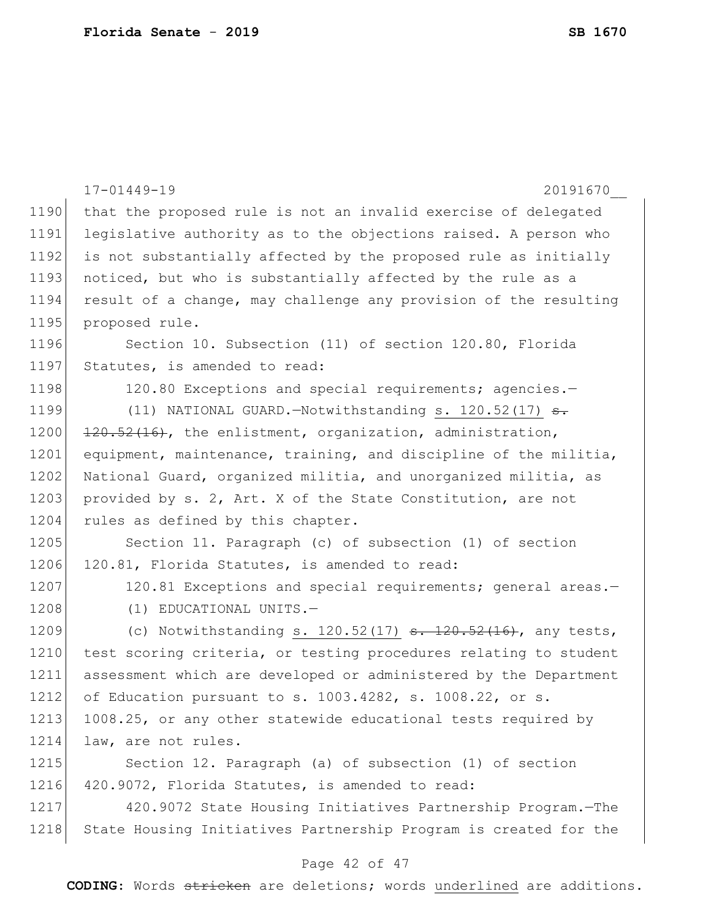|      | $17 - 01449 - 19$<br>20191670                                        |
|------|----------------------------------------------------------------------|
| 1190 | that the proposed rule is not an invalid exercise of delegated       |
| 1191 | legislative authority as to the objections raised. A person who      |
| 1192 | is not substantially affected by the proposed rule as initially      |
| 1193 | noticed, but who is substantially affected by the rule as a          |
| 1194 | result of a change, may challenge any provision of the resulting     |
| 1195 | proposed rule.                                                       |
| 1196 | Section 10. Subsection (11) of section 120.80, Florida               |
| 1197 | Statutes, is amended to read:                                        |
| 1198 | 120.80 Exceptions and special requirements; agencies.-               |
| 1199 | (11) NATIONAL GUARD. - Notwithstanding s. $120.52(17)$ <del>s.</del> |
| 1200 | 120.52(16), the enlistment, organization, administration,            |
| 1201 | equipment, maintenance, training, and discipline of the militia,     |
| 1202 | National Guard, organized militia, and unorganized militia, as       |
| 1203 | provided by s. 2, Art. X of the State Constitution, are not          |
| 1204 | rules as defined by this chapter.                                    |
| 1205 | Section 11. Paragraph (c) of subsection (1) of section               |
| 1206 | 120.81, Florida Statutes, is amended to read:                        |
| 1207 | 120.81 Exceptions and special requirements; general areas.-          |
| 1208 | (1) EDUCATIONAL UNITS.-                                              |
| 1209 | (c) Notwithstanding s. $120.52(17)$ s. $120.52(16)$ , any tests,     |
| 1210 | test scoring criteria, or testing procedures relating to student     |
| 1211 | assessment which are developed or administered by the Department     |
| 1212 | of Education pursuant to s. 1003.4282, s. 1008.22, or s.             |
| 1213 | 1008.25, or any other statewide educational tests required by        |
| 1214 | law, are not rules.                                                  |
| 1215 | Section 12. Paragraph (a) of subsection (1) of section               |
| 1216 | 420.9072, Florida Statutes, is amended to read:                      |
| 1217 | 420.9072 State Housing Initiatives Partnership Program.-The          |
| 1218 | State Housing Initiatives Partnership Program is created for the     |
|      | Page 42 of 47                                                        |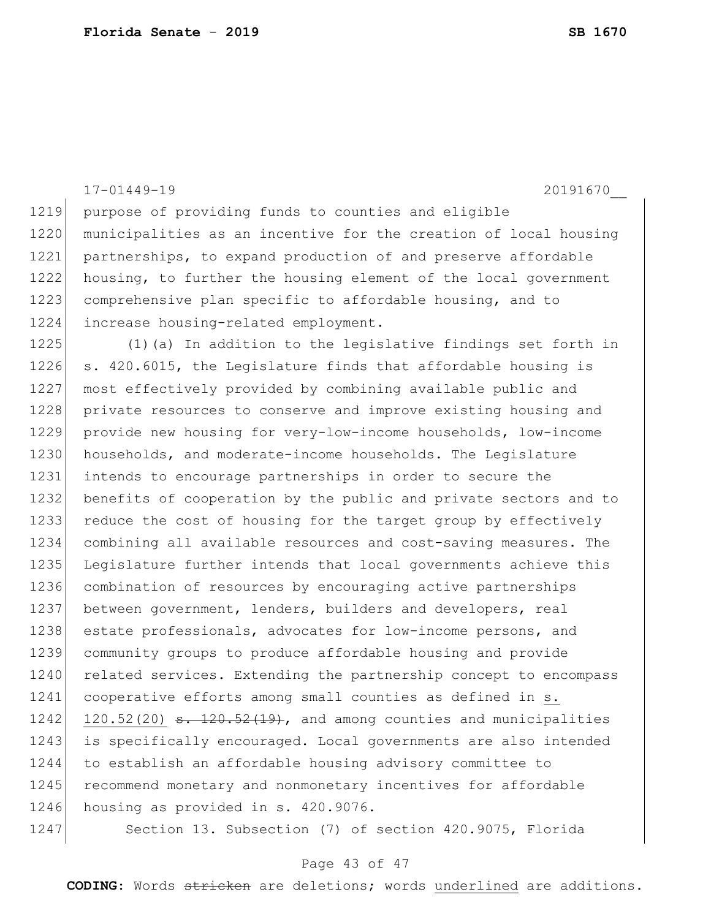1219 purpose of providing funds to counties and eligible 1220 municipalities as an incentive for the creation of local housing 1221 partnerships, to expand production of and preserve affordable 1222 housing, to further the housing element of the local government 1223 comprehensive plan specific to affordable housing, and to 1224 increase housing-related employment. 1225 (1)(a) In addition to the legislative findings set forth in 1226 s. 420.6015, the Legislature finds that affordable housing is 1227 most effectively provided by combining available public and 1228 private resources to conserve and improve existing housing and 1229 provide new housing for very-low-income households, low-income 1230 households, and moderate-income households. The Legislature 1231 intends to encourage partnerships in order to secure the 1232 benefits of cooperation by the public and private sectors and to 1233 reduce the cost of housing for the target group by effectively 1234 combining all available resources and cost-saving measures. The 1235 Legislature further intends that local governments achieve this 1236 combination of resources by encouraging active partnerships 1237 between government, lenders, builders and developers, real 1238 estate professionals, advocates for low-income persons, and 1239 community groups to produce affordable housing and provide 1240 related services. Extending the partnership concept to encompass 1241 cooperative efforts among small counties as defined in s.  $1242$  120.52(20) <del>s. 120.52(19)</del>, and among counties and municipalities 1243 is specifically encouraged. Local governments are also intended 1244 to establish an affordable housing advisory committee to 1245 recommend monetary and nonmonetary incentives for affordable 1246 housing as provided in s. 420.9076. 1247 Section 13. Subsection (7) of section 420.9075, Florida

17-01449-19 20191670\_\_

### Page 43 of 47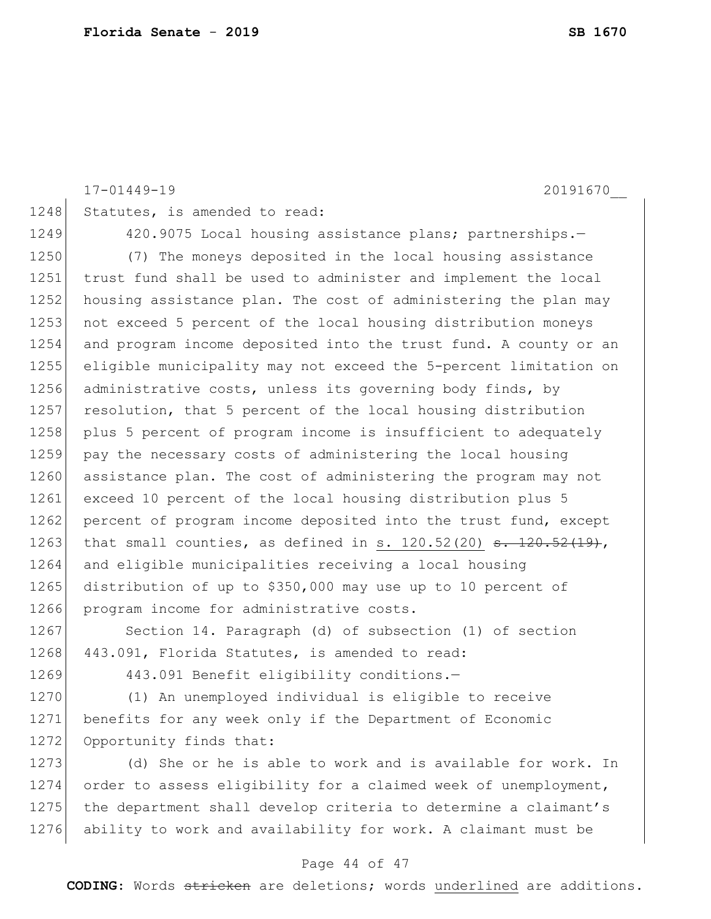17-01449-19 20191670\_\_ 1248 Statutes, is amended to read: 1249 420.9075 Local housing assistance plans; partnerships.-1250 (7) The moneys deposited in the local housing assistance 1251 trust fund shall be used to administer and implement the local 1252 housing assistance plan. The cost of administering the plan may 1253 not exceed 5 percent of the local housing distribution moneys 1254 and program income deposited into the trust fund. A county or an 1255 eligible municipality may not exceed the 5-percent limitation on 1256 administrative costs, unless its governing body finds, by 1257 resolution, that 5 percent of the local housing distribution 1258 plus 5 percent of program income is insufficient to adequately 1259 pay the necessary costs of administering the local housing 1260 assistance plan. The cost of administering the program may not 1261 exceed 10 percent of the local housing distribution plus 5 1262 percent of program income deposited into the trust fund, except 1263 that small counties, as defined in s. 120.52(20)  $s. 120.52(19)$ , 1264 and eligible municipalities receiving a local housing 1265 distribution of up to \$350,000 may use up to 10 percent of 1266 program income for administrative costs. 1267 Section 14. Paragraph (d) of subsection (1) of section 1268 443.091, Florida Statutes, is amended to read: 1269 443.091 Benefit eligibility conditions.-1270 (1) An unemployed individual is eligible to receive 1271 benefits for any week only if the Department of Economic 1272 Opportunity finds that: 1273 (d) She or he is able to work and is available for work. In 1274 order to assess eligibility for a claimed week of unemployment, 1275 the department shall develop criteria to determine a claimant's 1276 ability to work and availability for work. A claimant must be

#### Page 44 of 47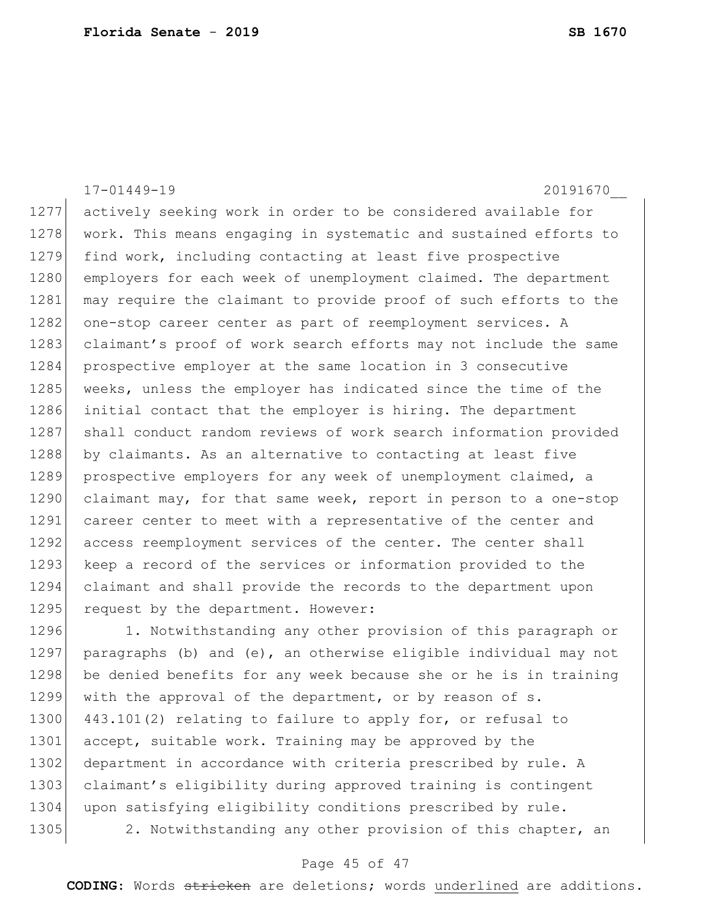17-01449-19 20191670\_\_ 1277 actively seeking work in order to be considered available for 1278 work. This means engaging in systematic and sustained efforts to 1279 find work, including contacting at least five prospective 1280 employers for each week of unemployment claimed. The department 1281 may require the claimant to provide proof of such efforts to the 1282 one-stop career center as part of reemployment services. A 1283 claimant's proof of work search efforts may not include the same 1284 prospective employer at the same location in 3 consecutive 1285 weeks, unless the employer has indicated since the time of the 1286 initial contact that the employer is hiring. The department 1287 shall conduct random reviews of work search information provided 1288 by claimants. As an alternative to contacting at least five 1289 prospective employers for any week of unemployment claimed, a 1290 claimant may, for that same week, report in person to a one-stop 1291 career center to meet with a representative of the center and 1292 access reemployment services of the center. The center shall 1293 keep a record of the services or information provided to the 1294 claimant and shall provide the records to the department upon 1295 request by the department. However: 1296 1. Notwithstanding any other provision of this paragraph or 1297 paragraphs (b) and (e), an otherwise eligible individual may not

1298 be denied benefits for any week because she or he is in training 1299 with the approval of the department, or by reason of s. 1300 443.101(2) relating to failure to apply for, or refusal to 1301 accept, suitable work. Training may be approved by the 1302 department in accordance with criteria prescribed by rule. A 1303 claimant's eligibility during approved training is contingent 1304 upon satisfying eligibility conditions prescribed by rule. 1305 2. Notwithstanding any other provision of this chapter, an

### Page 45 of 47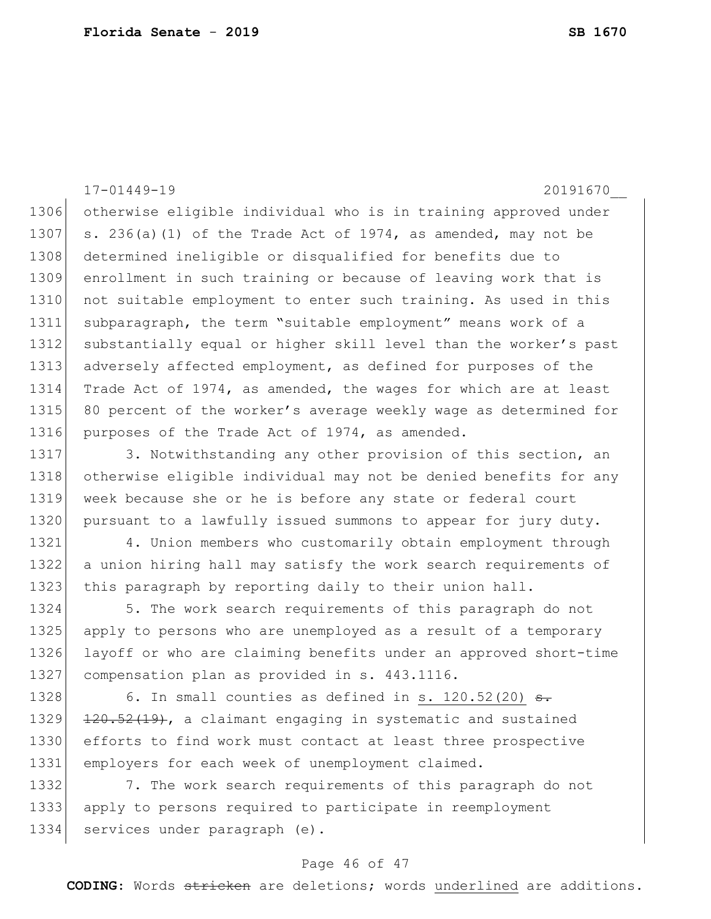17-01449-19 20191670\_\_ 1306 otherwise eligible individual who is in training approved under 1307 s. 236(a)(1) of the Trade Act of 1974, as amended, may not be 1308 determined ineligible or disqualified for benefits due to 1309 enrollment in such training or because of leaving work that is 1310 not suitable employment to enter such training. As used in this 1311 subparagraph, the term "suitable employment" means work of a 1312 substantially equal or higher skill level than the worker's past 1313 adversely affected employment, as defined for purposes of the 1314 Trade Act of 1974, as amended, the wages for which are at least 1315 80 percent of the worker's average weekly wage as determined for 1316 purposes of the Trade Act of 1974, as amended.

1317 3. Notwithstanding any other provision of this section, an 1318 otherwise eligible individual may not be denied benefits for any 1319 week because she or he is before any state or federal court 1320 pursuant to a lawfully issued summons to appear for jury duty.

1321 4. Union members who customarily obtain employment through 1322 a union hiring hall may satisfy the work search requirements of 1323 this paragraph by reporting daily to their union hall.

1324 5. The work search requirements of this paragraph do not apply to persons who are unemployed as a result of a temporary layoff or who are claiming benefits under an approved short-time compensation plan as provided in s. 443.1116.

1328 6. In small counties as defined in s.  $120.52(20)$  s. 1329  $\left| \frac{120.52(19)}{20.52(19)} \right|$ , a claimant engaging in systematic and sustained 1330 efforts to find work must contact at least three prospective 1331 employers for each week of unemployment claimed.

1332 7. The work search requirements of this paragraph do not 1333 apply to persons required to participate in reemployment 1334 services under paragraph (e).

### Page 46 of 47